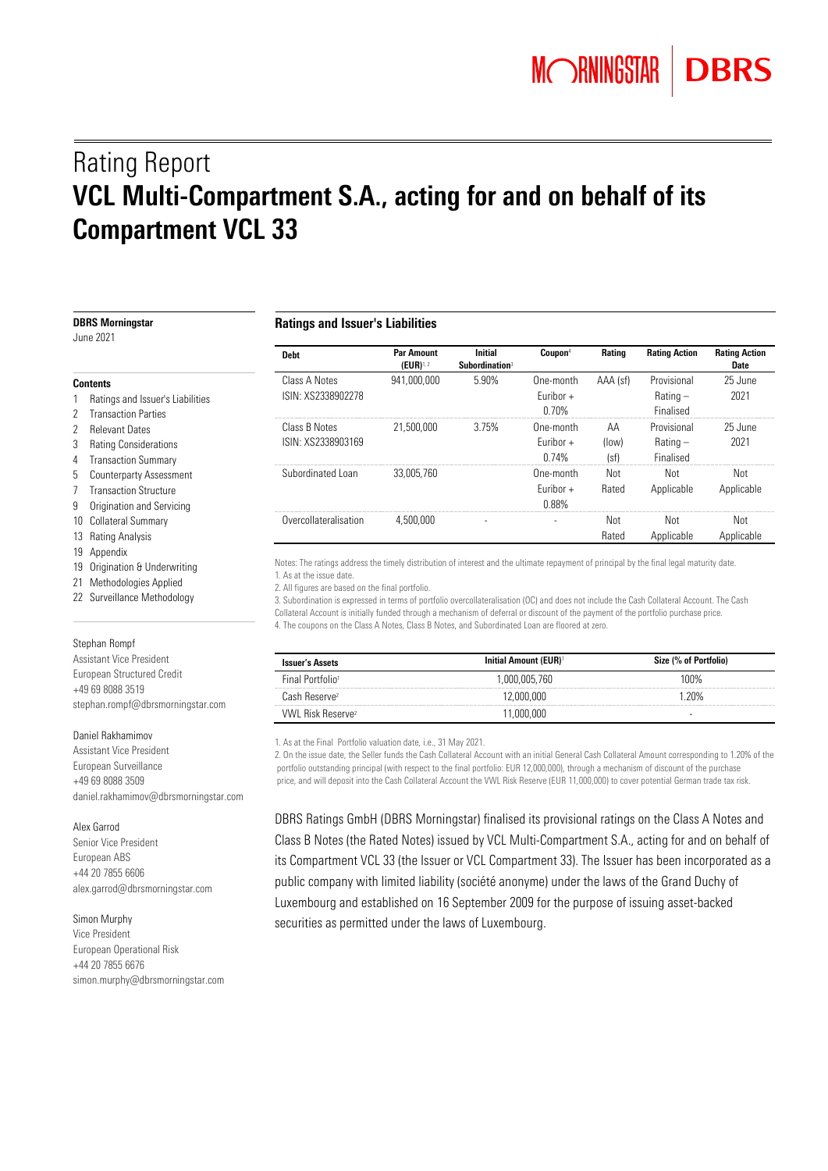# Rating Report VCL Multi-Compartment S.A., acting for and on behalf of its Compartment VCL 33

| <b>DBRS Morningstar</b><br>June 2021                                                     | <b>Ratings and Issuer's Liabilities</b> |                                     |                                              |                                   |                     |                                        |                              |
|------------------------------------------------------------------------------------------|-----------------------------------------|-------------------------------------|----------------------------------------------|-----------------------------------|---------------------|----------------------------------------|------------------------------|
|                                                                                          | <b>Debt</b>                             | <b>Par Amount</b><br>$(EUR)^{1, 2}$ | <b>Initial</b><br>Subordination <sup>3</sup> | Coupon <sup>4</sup>               | Rating              | <b>Rating Action</b>                   | <b>Rating Action</b><br>Date |
| <b>Contents</b>                                                                          | Class A Notes                           | 941,000,000                         | 5.90%                                        | One-month                         | AAA (sf)            | Provisional                            | 25 June                      |
| Ratings and Issuer's Liabilities<br>2 Transaction Parties                                | ISIN: XS2338902278                      |                                     |                                              | Euribor +<br>0.70%                |                     | $Rating -$<br>Finalised                | 2021                         |
| <b>Relevant Dates</b><br>3<br><b>Rating Considerations</b><br>4 Transaction Summary      | Class B Notes<br>ISIN: XS2338903169     | 21.500.000                          | 3.75%                                        | One-month<br>Euribor +<br>0.74%   | AA<br>(low)<br>(sf) | Provisional<br>$Rating -$<br>Finalised | 25 June<br>2021              |
| 5 Counterparty Assessment<br><b>Transaction Structure</b><br>9 Origination and Servicing | Subordinated Loan                       | 33.005.760                          |                                              | One-month<br>Euribor $+$<br>0.88% | Not<br>Rated        | Not<br>Applicable                      | Not<br>Applicable            |
| 10 Collateral Summary<br>13 Rating Analysis                                              | Overcollateralisation                   | 4.500.000                           |                                              |                                   | Not<br>Rated        | Not<br>Applicable                      | Not<br>Applicable            |

Notes: The ratings address the timely distribution of interest and the ultimate repayment of principal by the final legal maturity date. 1. As at the issue date.

2. All figures are based on the final portfolio.

3. Subordination is expressed in terms of portfolio overcollateralisation (OC) and does not include the Cash Collateral Account. The Cash Collateral Account is initially funded through a mechanism of deferral or discount of the payment of the portfolio purchase price. 4. The coupons on the Class A Notes, Class B Notes, and Subordinated Loan are floored at zero.

| <b>Issuer's Assets</b>        | <b>Initial Amount (EUR)</b> <sup>1</sup> | Size (% of Portfolio) |
|-------------------------------|------------------------------------------|-----------------------|
| Final Portfolio <sup>1</sup>  | 1.000.005.760                            | 100%                  |
| Cash Reserve?                 | 2.000.000                                | 20%                   |
| VWL Risk Reserve <sup>2</sup> | 1 000 000                                | -                     |

1. As at the Final Portfolio valuation date, i.e., 31 May 2021.

2. On the issue date, the Seller funds the Cash Collateral Account with an initial General Cash Collateral Amount corresponding to 1.20% of the portfolio outstanding principal (with respect to the final portfolio: EUR 12,000,000), through a mechanism of discount of the purchase price, and will deposit into the Cash Collateral Account the VWL Risk Reserve (EUR 11,000,000) to cover potential German trade tax risk.

DBRS Ratings GmbH (DBRS Morningstar) finalised its provisional ratings on the Class A Notes and Class B Notes (the Rated Notes) issued by VCL Multi-Compartment S.A., acting for and on behalf of its Compartment VCL 33 (the Issuer or VCL Compartment 33). The Issuer has been incorporated as a public company with limited liability (société anonyme) under the laws of the Grand Duchy of Luxembourg and established on 16 September 2009 for the purpose of issuing asset-backed securities as permitted under the laws of Luxembourg.

- 
- 

- 
- 
- 
- 
- 
- 
- 
- 19 Appendix
- 19 Origination & Underwriting
- 21 Methodologies Applied
- 22 Surveillance Methodology

#### Stephan Rompf

Assistant Vice President European Structured Credit +49 69 8088 3519 [stephan.rompf@dbrsmorningstar.com](mailto:stephan.rompf@dbrsmorningstar.com)

#### Daniel Rakhamimov

Assistant Vice President European Surveillance +49 69 8088 3509 daniel.rakhamimov@dbrsmorningstar.com

#### Alex Garrod

Senior Vice President European ABS +44 20 7855 6606 alex.garrod@dbrsmorningstar.com

#### Simon Murphy

Vice President European Operational Risk +44 20 7855 6676 simon.murphy@dbrsmorningstar.com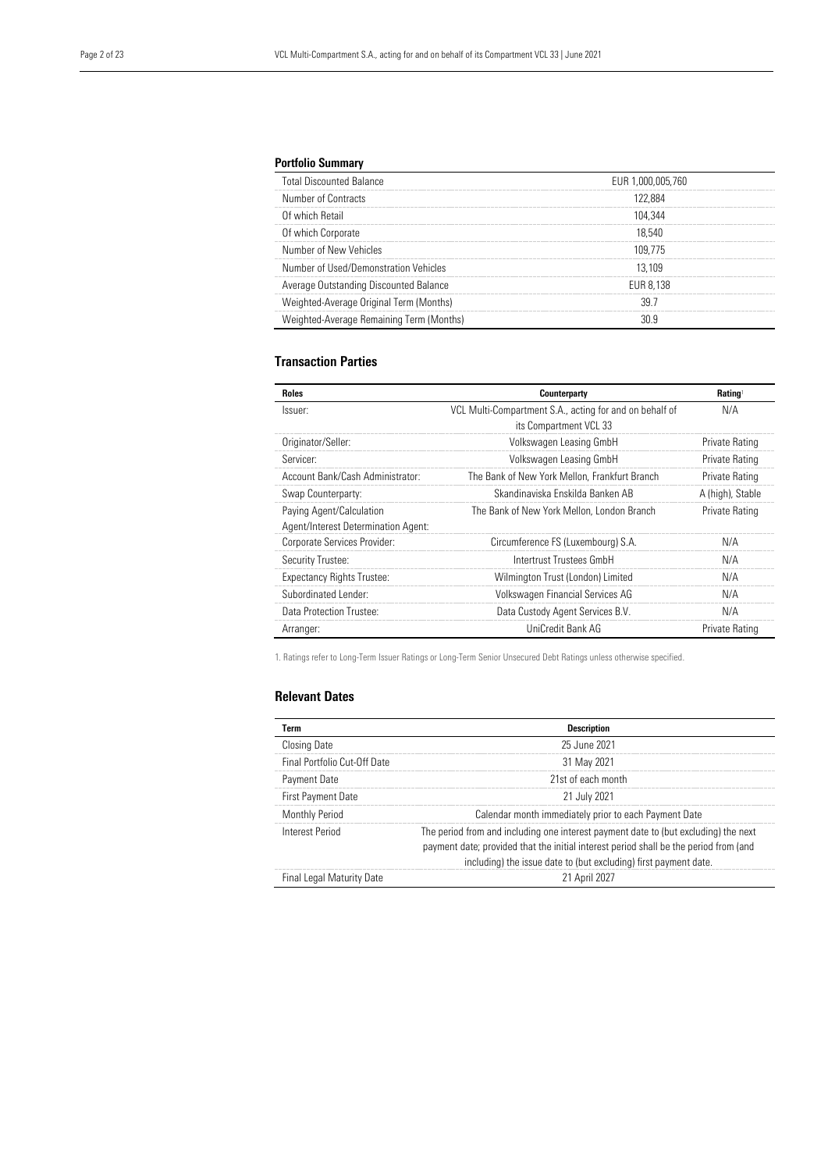## Portfolio Summary

| <b>Total Discounted Balance</b>          | EUR 1.000.005.760 |  |
|------------------------------------------|-------------------|--|
| Number of Contracts                      | 122 884           |  |
| Of which Retail                          | 104 344           |  |
| Of which Corporate                       | 18.540            |  |
| Number of New Vehicles                   | 109 775           |  |
| Number of Used/Demonstration Vehicles    | 13 109            |  |
| Average Outstanding Discounted Balance   | EUR 8.138         |  |
| Weighted-Average Original Term (Months)  |                   |  |
| Weighted-Average Remaining Term (Months) |                   |  |
|                                          |                   |  |

## Transaction Parties

| <b>Roles</b>                        | Counterparty                                            | Rating <sup>1</sup> |
|-------------------------------------|---------------------------------------------------------|---------------------|
| Issuer:                             | VCL Multi-Compartment S.A., acting for and on behalf of | N/A                 |
|                                     | its Compartment VCL 33                                  |                     |
| Originator/Seller:                  | Volkswagen Leasing GmbH                                 | Private Rating      |
| Servicer:                           | Volkswagen Leasing GmbH                                 | Private Rating      |
| Account Bank/Cash Administrator:    | The Bank of New York Mellon, Frankfurt Branch           | Private Rating      |
| Swap Counterparty:                  | Skandinaviska Enskilda Banken AB                        | A (high), Stable    |
| Paying Agent/Calculation            | The Bank of New York Mellon, London Branch              | Private Rating      |
| Agent/Interest Determination Agent: |                                                         |                     |
| Corporate Services Provider:        | Circumference FS (Luxembourg) S.A.                      | N/A                 |
| Security Trustee:                   | Intertrust Trustees GmbH                                | N/A                 |
| <b>Expectancy Rights Trustee:</b>   | Wilmington Trust (London) Limited                       | N/A                 |
| Subordinated Lender:                | Volkswagen Financial Services AG                        | N/A                 |
| Data Protection Trustee:            | Data Custody Agent Services B.V.                        | N/A                 |
| Arranger:                           | UniCredit Bank AG                                       | Private Rating      |

1. Ratings refer to Long-Term Issuer Ratings or Long-Term Senior Unsecured Debt Ratings unless otherwise specified.

## Relevant Dates

| <b>Term</b>                  | <b>Description</b>                                                                                                                                                                                                                               |
|------------------------------|--------------------------------------------------------------------------------------------------------------------------------------------------------------------------------------------------------------------------------------------------|
| <b>Closing Date</b>          | 25 June 2021                                                                                                                                                                                                                                     |
| Final Portfolio Cut-Off Date | 31 May 2021                                                                                                                                                                                                                                      |
| Payment Date                 | 21st of each month                                                                                                                                                                                                                               |
| First Payment Date           | 21 July 2021                                                                                                                                                                                                                                     |
| Monthly Period               | Calendar month immediately prior to each Payment Date                                                                                                                                                                                            |
| Interest Period              | The period from and including one interest payment date to (but excluding) the next<br>payment date; provided that the initial interest period shall be the period from (and<br>including) the issue date to (but excluding) first payment date. |
| Final Legal Maturity Date    | 21 April 2027                                                                                                                                                                                                                                    |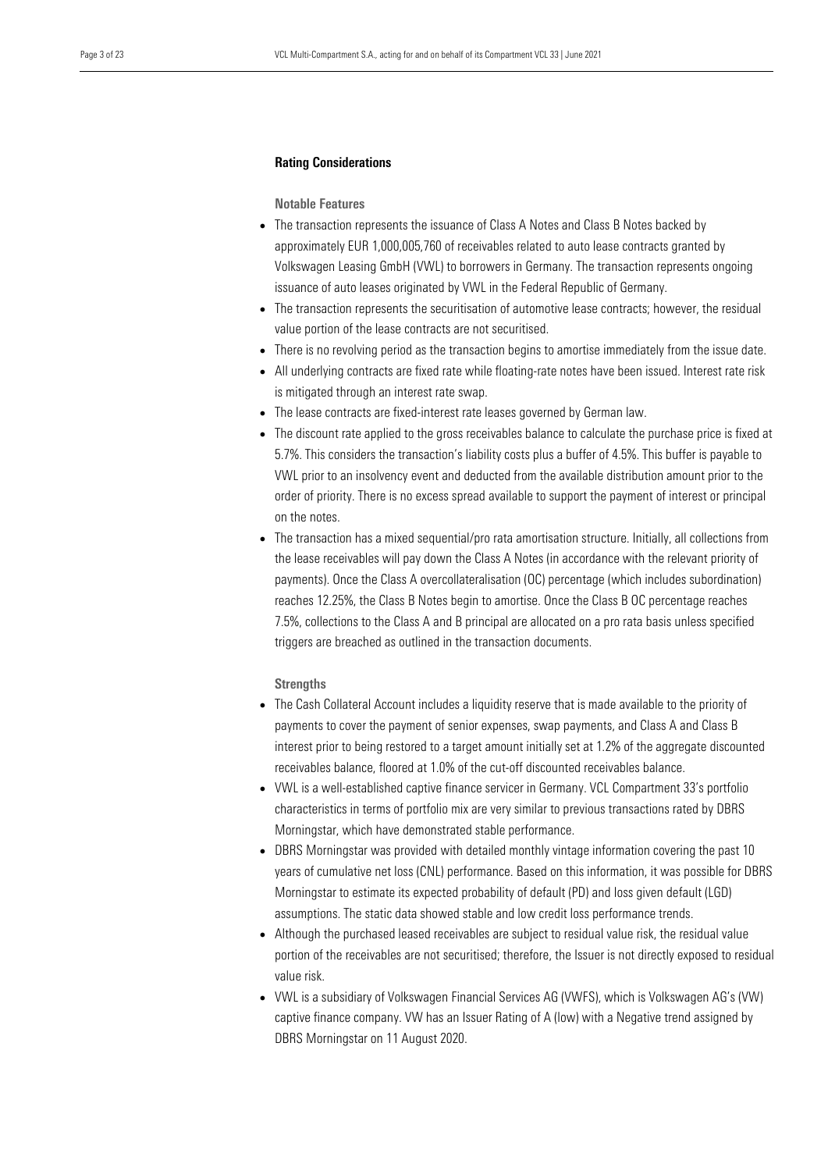#### Rating Considerations

#### Notable Features

- The transaction represents the issuance of Class A Notes and Class B Notes backed by approximately EUR 1,000,005,760 of receivables related to auto lease contracts granted by Volkswagen Leasing GmbH (VWL) to borrowers in Germany. The transaction represents ongoing issuance of auto leases originated by VWL in the Federal Republic of Germany.
- The transaction represents the securitisation of automotive lease contracts; however, the residual value portion of the lease contracts are not securitised.
- There is no revolving period as the transaction begins to amortise immediately from the issue date.
- All underlying contracts are fixed rate while floating-rate notes have been issued. Interest rate risk is mitigated through an interest rate swap.
- The lease contracts are fixed-interest rate leases governed by German law.
- The discount rate applied to the gross receivables balance to calculate the purchase price is fixed at 5.7%. This considers the transaction's liability costs plus a buffer of 4.5%. This buffer is payable to VWL prior to an insolvency event and deducted from the available distribution amount prior to the order of priority. There is no excess spread available to support the payment of interest or principal on the notes.
- The transaction has a mixed sequential/pro rata amortisation structure. Initially, all collections from the lease receivables will pay down the Class A Notes (in accordance with the relevant priority of payments). Once the Class A overcollateralisation (OC) percentage (which includes subordination) reaches 12.25%, the Class B Notes begin to amortise. Once the Class B OC percentage reaches 7.5%, collections to the Class A and B principal are allocated on a pro rata basis unless specified triggers are breached as outlined in the transaction documents.

#### **Strengths**

- The Cash Collateral Account includes a liquidity reserve that is made available to the priority of payments to cover the payment of senior expenses, swap payments, and Class A and Class B interest prior to being restored to a target amount initially set at 1.2% of the aggregate discounted receivables balance, floored at 1.0% of the cut-off discounted receivables balance.
- VWL is a well-established captive finance servicer in Germany. VCL Compartment 33's portfolio characteristics in terms of portfolio mix are very similar to previous transactions rated by DBRS Morningstar, which have demonstrated stable performance.
- DBRS Morningstar was provided with detailed monthly vintage information covering the past 10 years of cumulative net loss (CNL) performance. Based on this information, it was possible for DBRS Morningstar to estimate its expected probability of default (PD) and loss given default (LGD) assumptions. The static data showed stable and low credit loss performance trends.
- Although the purchased leased receivables are subject to residual value risk, the residual value portion of the receivables are not securitised; therefore, the Issuer is not directly exposed to residual value risk.
- VWL is a subsidiary of Volkswagen Financial Services AG (VWFS), which is Volkswagen AG's (VW) captive finance company. VW has an Issuer Rating of A (low) with a Negative trend assigned by DBRS Morningstar on 11 August 2020.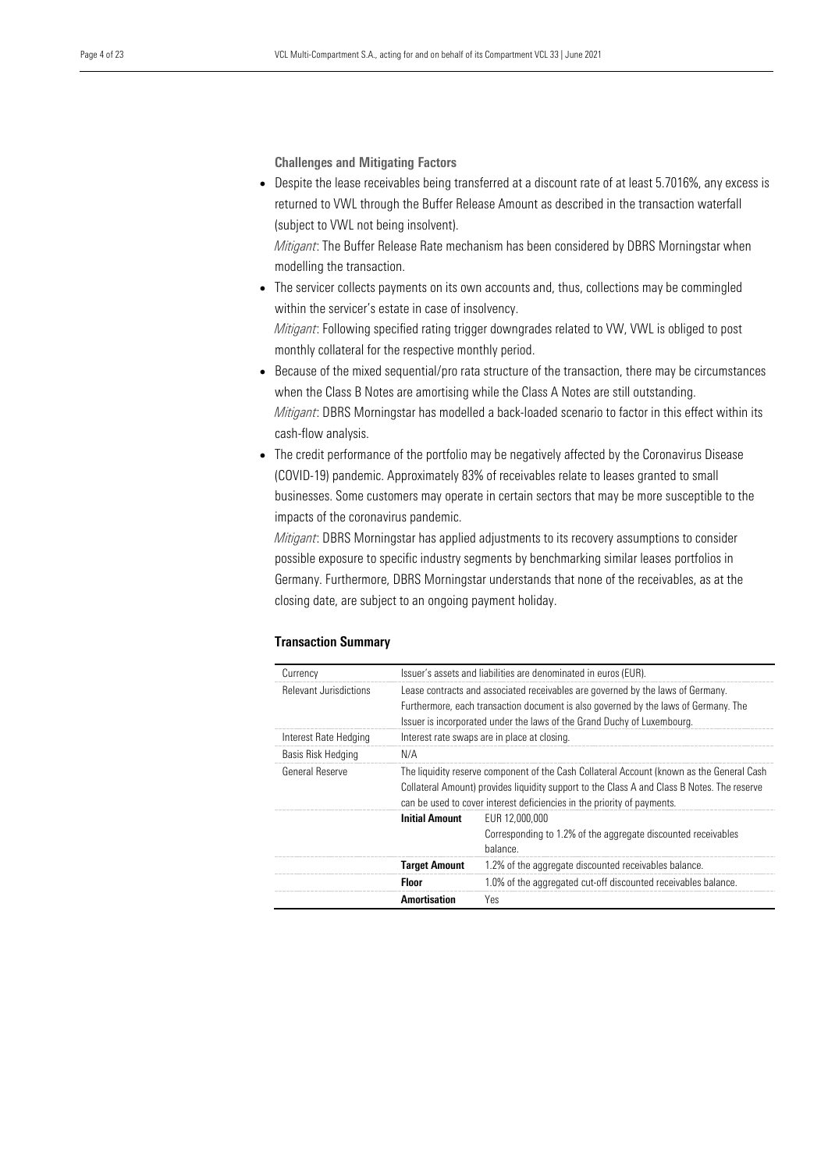Challenges and Mitigating Factors

• Despite the lease receivables being transferred at a discount rate of at least 5.7016%, any excess is returned to VWL through the Buffer Release Amount as described in the transaction waterfall (subject to VWL not being insolvent).

*Mitigant*: The Buffer Release Rate mechanism has been considered by DBRS Morningstar when modelling the transaction.

• The servicer collects payments on its own accounts and, thus, collections may be commingled within the servicer's estate in case of insolvency.

*Mitigant*: Following specified rating trigger downgrades related to VW, VWL is obliged to post monthly collateral for the respective monthly period.

- Because of the mixed sequential/pro rata structure of the transaction, there may be circumstances when the Class B Notes are amortising while the Class A Notes are still outstanding. *Mitigant*: DBRS Morningstar has modelled a back-loaded scenario to factor in this effect within its cash-flow analysis.
- The credit performance of the portfolio may be negatively affected by the Coronavirus Disease (COVID-19) pandemic. Approximately 83% of receivables relate to leases granted to small businesses. Some customers may operate in certain sectors that may be more susceptible to the impacts of the coronavirus pandemic.

*Mitigant*: DBRS Morningstar has applied adjustments to its recovery assumptions to consider possible exposure to specific industry segments by benchmarking similar leases portfolios in Germany. Furthermore, DBRS Morningstar understands that none of the receivables, as at the closing date, are subject to an ongoing payment holiday.

#### Transaction Summary

| Currency                      | Issuer's assets and liabilities are denominated in euros (EUR).                                                                                                                                                                                                     |                                                                                             |  |  |
|-------------------------------|---------------------------------------------------------------------------------------------------------------------------------------------------------------------------------------------------------------------------------------------------------------------|---------------------------------------------------------------------------------------------|--|--|
| <b>Relevant Jurisdictions</b> | Lease contracts and associated receivables are governed by the laws of Germany.<br>Furthermore, each transaction document is also governed by the laws of Germany. The<br>Issuer is incorporated under the laws of the Grand Duchy of Luxembourg.                   |                                                                                             |  |  |
| Interest Rate Hedging         |                                                                                                                                                                                                                                                                     | Interest rate swaps are in place at closing.                                                |  |  |
| Basis Risk Hedging            | N/A                                                                                                                                                                                                                                                                 |                                                                                             |  |  |
| General Reserve               | The liquidity reserve component of the Cash Collateral Account (known as the General Cash<br>Collateral Amount) provides liquidity support to the Class A and Class B Notes. The reserve<br>can be used to cover interest deficiencies in the priority of payments. |                                                                                             |  |  |
|                               | <b>Initial Amount</b>                                                                                                                                                                                                                                               | EUR 12,000,000<br>Corresponding to 1.2% of the aggregate discounted receivables<br>balance. |  |  |
|                               | <b>Target Amount</b>                                                                                                                                                                                                                                                | 1.2% of the aggregate discounted receivables balance.                                       |  |  |
|                               | <b>Floor</b>                                                                                                                                                                                                                                                        | 1.0% of the aggregated cut-off discounted receivables balance.                              |  |  |
|                               | <b>Amortisation</b>                                                                                                                                                                                                                                                 | Yes                                                                                         |  |  |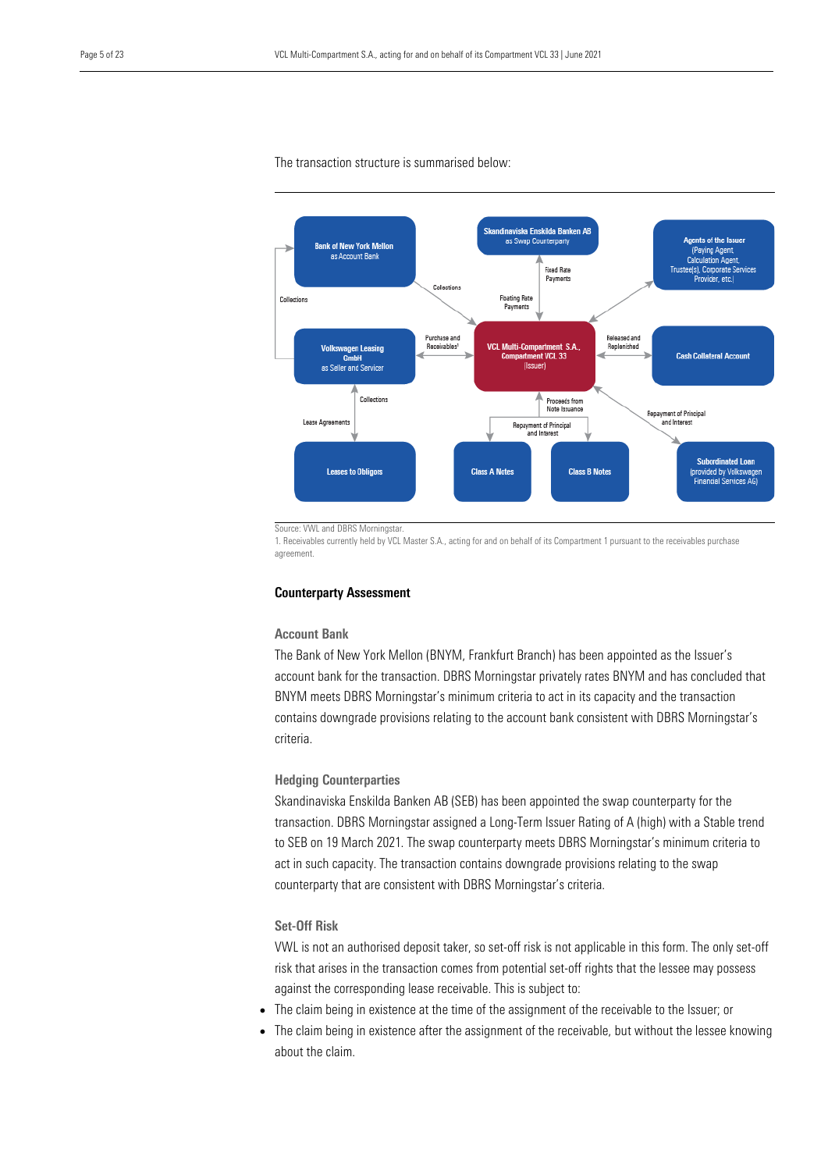

The transaction structure is summarised below:

Source: VWL and DBRS Morningstar.

1. Receivables currently held by VCL Master S.A., acting for and on behalf of its Compartment 1 pursuant to the receivables purchase agreement.

#### Counterparty Assessment

## Account Bank

The Bank of New York Mellon (BNYM, Frankfurt Branch) has been appointed as the Issuer's account bank for the transaction. DBRS Morningstar privately rates BNYM and has concluded that BNYM meets DBRS Morningstar's minimum criteria to act in its capacity and the transaction contains downgrade provisions relating to the account bank consistent with DBRS Morningstar's criteria.

## Hedging Counterparties

Skandinaviska Enskilda Banken AB (SEB) has been appointed the swap counterparty for the transaction. DBRS Morningstar assigned a Long-Term Issuer Rating of A (high) with a Stable trend to SEB on 19 March 2021. The swap counterparty meets DBRS Morningstar's minimum criteria to act in such capacity. The transaction contains downgrade provisions relating to the swap counterparty that are consistent with DBRS Morningstar's criteria.

## Set-Off Risk

VWL is not an authorised deposit taker, so set-off risk is not applicable in this form. The only set-off risk that arises in the transaction comes from potential set-off rights that the lessee may possess against the corresponding lease receivable. This is subject to:

- The claim being in existence at the time of the assignment of the receivable to the Issuer; or
- The claim being in existence after the assignment of the receivable, but without the lessee knowing about the claim.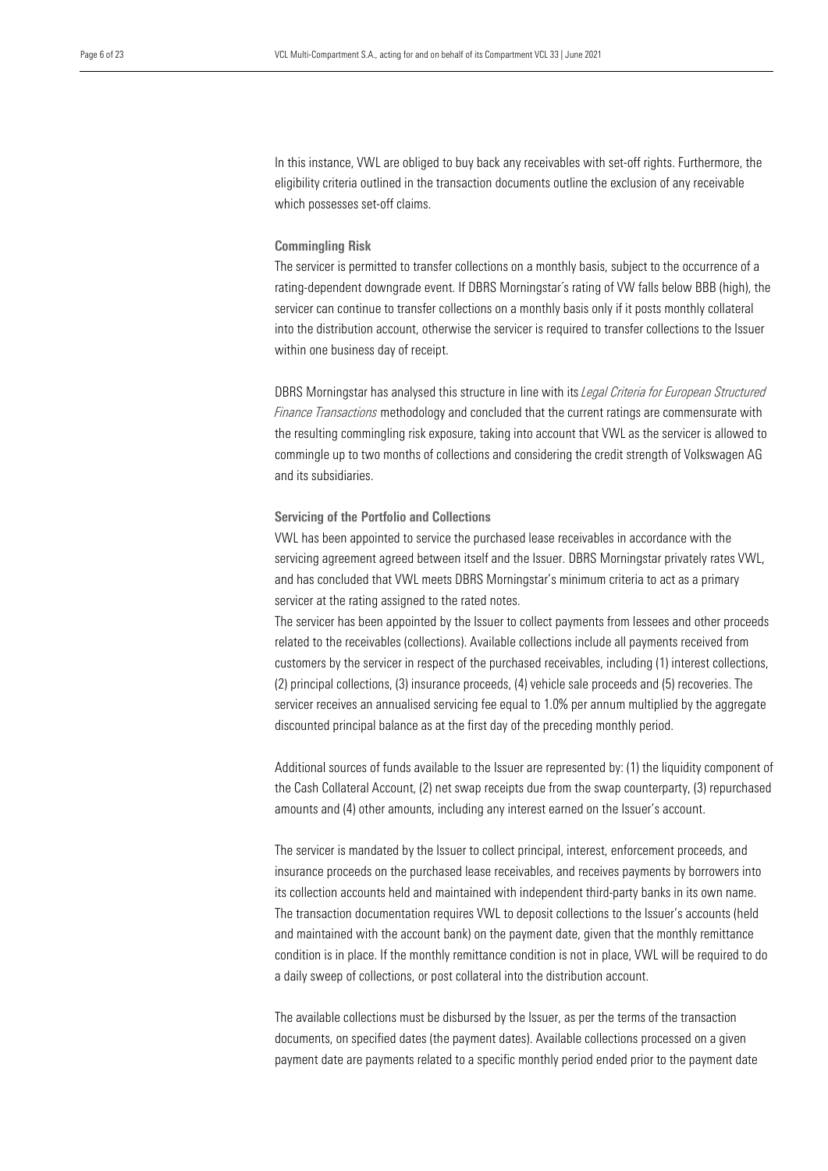In this instance, VWL are obliged to buy back any receivables with set-off rights. Furthermore, the eligibility criteria outlined in the transaction documents outline the exclusion of any receivable which possesses set-off claims.

#### Commingling Risk

The servicer is permitted to transfer collections on a monthly basis, subject to the occurrence of a rating-dependent downgrade event. If DBRS Morningstar´s rating of VW falls below BBB (high), the servicer can continue to transfer collections on a monthly basis only if it posts monthly collateral into the distribution account, otherwise the servicer is required to transfer collections to the Issuer within one business day of receipt.

DBRS Morningstar has analysed this structure in line with its *Legal Criteria for European Structured Finance Transactions* methodology and concluded that the current ratings are commensurate with the resulting commingling risk exposure, taking into account that VWL as the servicer is allowed to commingle up to two months of collections and considering the credit strength of Volkswagen AG and its subsidiaries.

#### Servicing of the Portfolio and Collections

VWL has been appointed to service the purchased lease receivables in accordance with the servicing agreement agreed between itself and the Issuer. DBRS Morningstar privately rates VWL, and has concluded that VWL meets DBRS Morningstar's minimum criteria to act as a primary servicer at the rating assigned to the rated notes.

The servicer has been appointed by the Issuer to collect payments from lessees and other proceeds related to the receivables (collections). Available collections include all payments received from customers by the servicer in respect of the purchased receivables, including (1) interest collections, (2) principal collections, (3) insurance proceeds, (4) vehicle sale proceeds and (5) recoveries. The servicer receives an annualised servicing fee equal to 1.0% per annum multiplied by the aggregate discounted principal balance as at the first day of the preceding monthly period.

Additional sources of funds available to the Issuer are represented by: (1) the liquidity component of the Cash Collateral Account, (2) net swap receipts due from the swap counterparty, (3) repurchased amounts and (4) other amounts, including any interest earned on the Issuer's account.

The servicer is mandated by the Issuer to collect principal, interest, enforcement proceeds, and insurance proceeds on the purchased lease receivables, and receives payments by borrowers into its collection accounts held and maintained with independent third-party banks in its own name. The transaction documentation requires VWL to deposit collections to the Issuer's accounts (held and maintained with the account bank) on the payment date, given that the monthly remittance condition is in place. If the monthly remittance condition is not in place, VWL will be required to do a daily sweep of collections, or post collateral into the distribution account.

The available collections must be disbursed by the Issuer, as per the terms of the transaction documents, on specified dates (the payment dates). Available collections processed on a given payment date are payments related to a specific monthly period ended prior to the payment date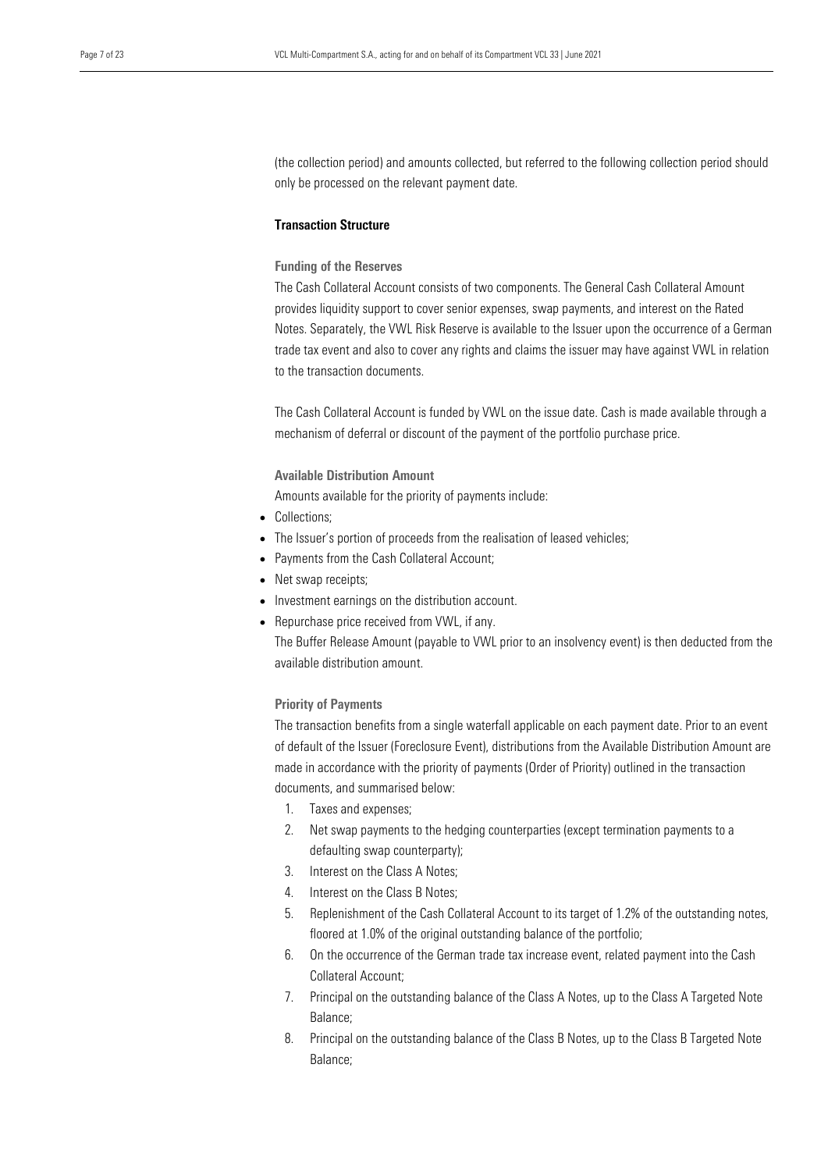(the collection period) and amounts collected, but referred to the following collection period should only be processed on the relevant payment date.

## Transaction Structure

## Funding of the Reserves

The Cash Collateral Account consists of two components. The General Cash Collateral Amount provides liquidity support to cover senior expenses, swap payments, and interest on the Rated Notes. Separately, the VWL Risk Reserve is available to the Issuer upon the occurrence of a German trade tax event and also to cover any rights and claims the issuer may have against VWL in relation to the transaction documents.

The Cash Collateral Account is funded by VWL on the issue date. Cash is made available through a mechanism of deferral or discount of the payment of the portfolio purchase price.

#### Available Distribution Amount

Amounts available for the priority of payments include:

- Collections;
- The Issuer's portion of proceeds from the realisation of leased vehicles;
- Payments from the Cash Collateral Account;
- Net swap receipts;
- Investment earnings on the distribution account.
- Repurchase price received from VWL, if any.

The Buffer Release Amount (payable to VWL prior to an insolvency event) is then deducted from the available distribution amount.

#### Priority of Payments

The transaction benefits from a single waterfall applicable on each payment date. Prior to an event of default of the Issuer (Foreclosure Event), distributions from the Available Distribution Amount are made in accordance with the priority of payments (Order of Priority) outlined in the transaction documents, and summarised below:

- 1. Taxes and expenses;
- 2. Net swap payments to the hedging counterparties (except termination payments to a defaulting swap counterparty);
- 3. Interest on the Class A Notes;
- 4. Interest on the Class B Notes;
- 5. Replenishment of the Cash Collateral Account to its target of 1.2% of the outstanding notes, floored at 1.0% of the original outstanding balance of the portfolio;
- 6. On the occurrence of the German trade tax increase event, related payment into the Cash Collateral Account;
- 7. Principal on the outstanding balance of the Class A Notes, up to the Class A Targeted Note Balance;
- 8. Principal on the outstanding balance of the Class B Notes, up to the Class B Targeted Note Balance;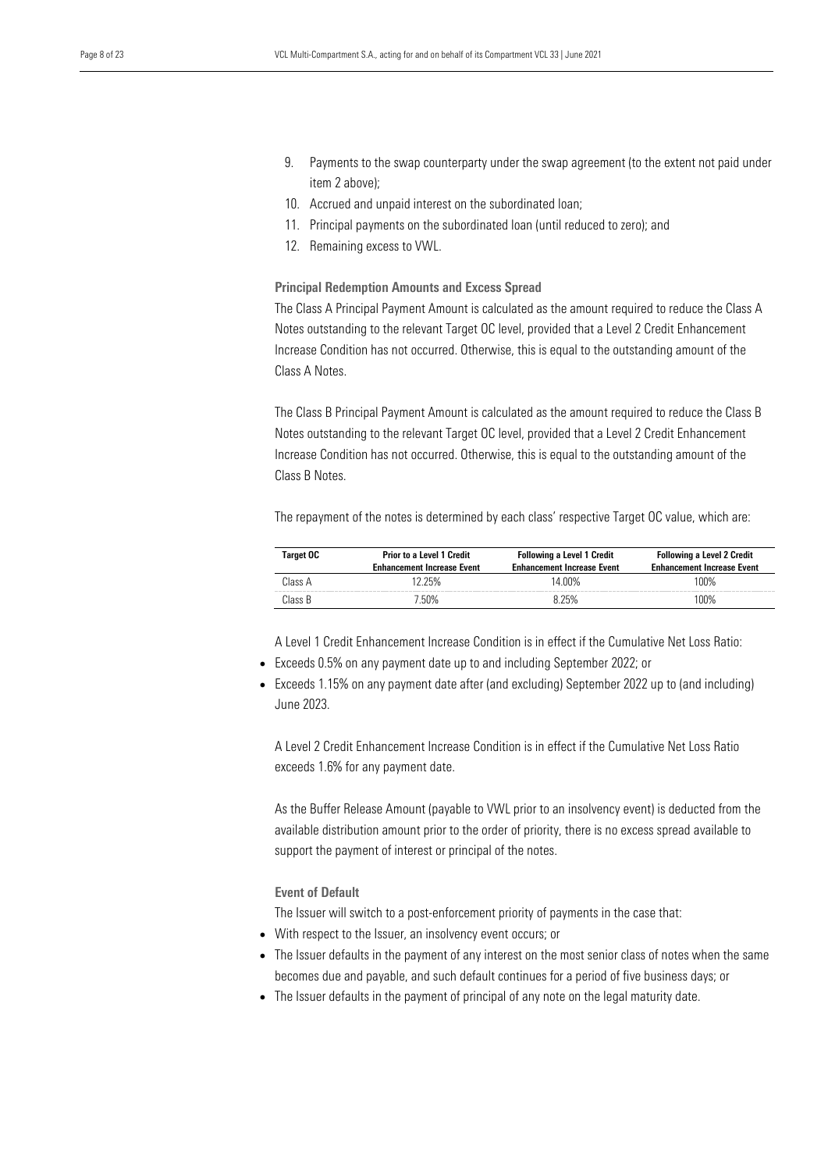- 9. Payments to the swap counterparty under the swap agreement (to the extent not paid under item 2 above);
- 10. Accrued and unpaid interest on the subordinated loan;
- 11. Principal payments on the subordinated loan (until reduced to zero); and
- 12. Remaining excess to VWL.

Principal Redemption Amounts and Excess Spread

The Class A Principal Payment Amount is calculated as the amount required to reduce the Class A Notes outstanding to the relevant Target OC level, provided that a Level 2 Credit Enhancement Increase Condition has not occurred. Otherwise, this is equal to the outstanding amount of the Class A Notes.

The Class B Principal Payment Amount is calculated as the amount required to reduce the Class B Notes outstanding to the relevant Target OC level, provided that a Level 2 Credit Enhancement Increase Condition has not occurred. Otherwise, this is equal to the outstanding amount of the Class B Notes.

The repayment of the notes is determined by each class' respective Target OC value, which are:

| Target OC | <b>Prior to a Level 1 Credit</b><br><b>Enhancement Increase Event</b> | <b>Following a Level 1 Credit</b><br><b>Enhancement Increase Event</b> | <b>Following a Level 2 Credit</b><br><b>Enhancement Increase Event</b> |
|-----------|-----------------------------------------------------------------------|------------------------------------------------------------------------|------------------------------------------------------------------------|
| Class A   | 12 25%                                                                | 14 በበ%                                                                 | 100%                                                                   |
| Class B   | ' 50%                                                                 | 8 25%                                                                  | 100%                                                                   |

A Level 1 Credit Enhancement Increase Condition is in effect if the Cumulative Net Loss Ratio:

- Exceeds 0.5% on any payment date up to and including September 2022; or
- Exceeds 1.15% on any payment date after (and excluding) September 2022 up to (and including) June 2023.

A Level 2 Credit Enhancement Increase Condition is in effect if the Cumulative Net Loss Ratio exceeds 1.6% for any payment date.

As the Buffer Release Amount (payable to VWL prior to an insolvency event) is deducted from the available distribution amount prior to the order of priority, there is no excess spread available to support the payment of interest or principal of the notes.

Event of Default

The Issuer will switch to a post-enforcement priority of payments in the case that:

- With respect to the Issuer, an insolvency event occurs; or
- The Issuer defaults in the payment of any interest on the most senior class of notes when the same becomes due and payable, and such default continues for a period of five business days; or
- The Issuer defaults in the payment of principal of any note on the legal maturity date.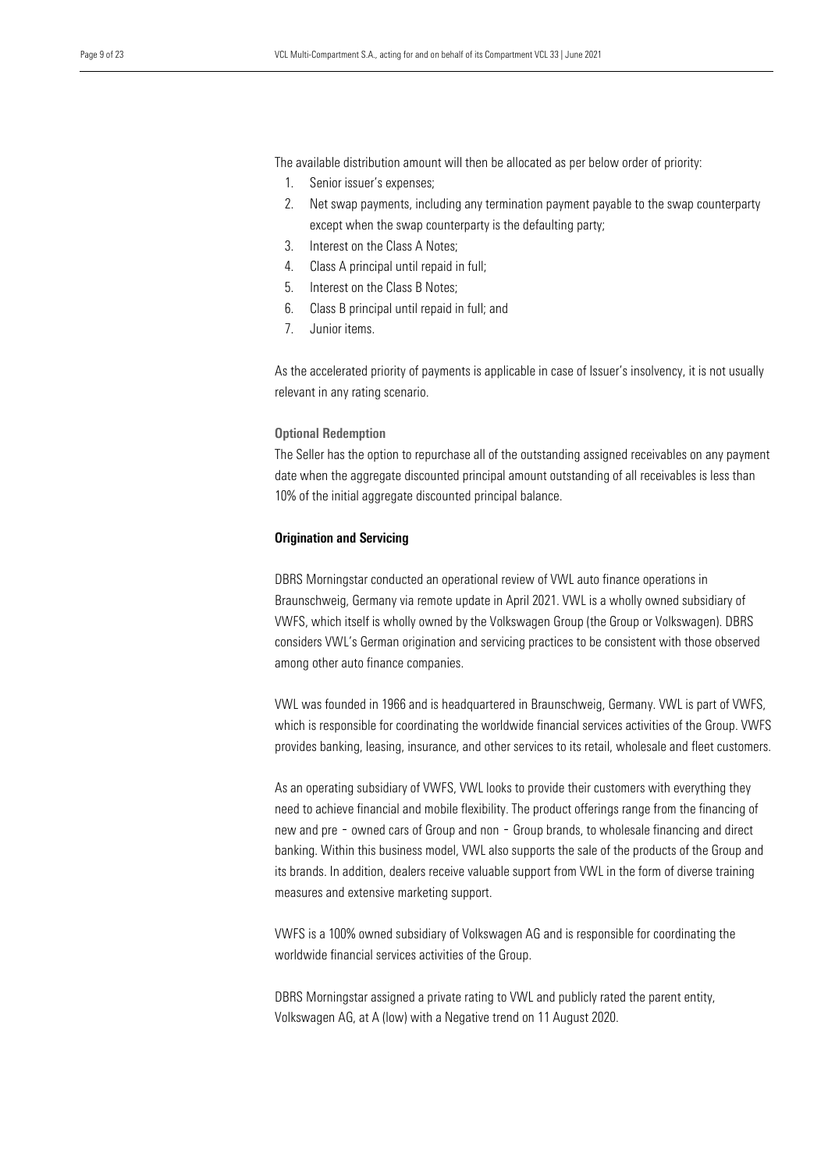The available distribution amount will then be allocated as per below order of priority:

- 1. Senior issuer's expenses;
- 2. Net swap payments, including any termination payment payable to the swap counterparty except when the swap counterparty is the defaulting party;
- 3. Interest on the Class A Notes;
- 4. Class A principal until repaid in full;
- 5. Interest on the Class B Notes;
- 6. Class B principal until repaid in full; and
- 7. Junior items.

As the accelerated priority of payments is applicable in case of Issuer's insolvency, it is not usually relevant in any rating scenario.

## Optional Redemption

The Seller has the option to repurchase all of the outstanding assigned receivables on any payment date when the aggregate discounted principal amount outstanding of all receivables is less than 10% of the initial aggregate discounted principal balance.

### Origination and Servicing

DBRS Morningstar conducted an operational review of VWL auto finance operations in Braunschweig, Germany via remote update in April 2021. VWL is a wholly owned subsidiary of VWFS, which itself is wholly owned by the Volkswagen Group (the Group or Volkswagen). DBRS considers VWL's German origination and servicing practices to be consistent with those observed among other auto finance companies.

VWL was founded in 1966 and is headquartered in Braunschweig, Germany. VWL is part of VWFS, which is responsible for coordinating the worldwide financial services activities of the Group. VWFS provides banking, leasing, insurance, and other services to its retail, wholesale and fleet customers.

As an operating subsidiary of VWFS, VWL looks to provide their customers with everything they need to achieve financial and mobile flexibility. The product offerings range from the financing of new and pre - owned cars of Group and non - Group brands, to wholesale financing and direct banking. Within this business model, VWL also supports the sale of the products of the Group and its brands. In addition, dealers receive valuable support from VWL in the form of diverse training measures and extensive marketing support.

VWFS is a 100% owned subsidiary of Volkswagen AG and is responsible for coordinating the worldwide financial services activities of the Group.

DBRS Morningstar assigned a private rating to VWL and publicly rated the parent entity, Volkswagen AG, at A (low) with a Negative trend on 11 August 2020.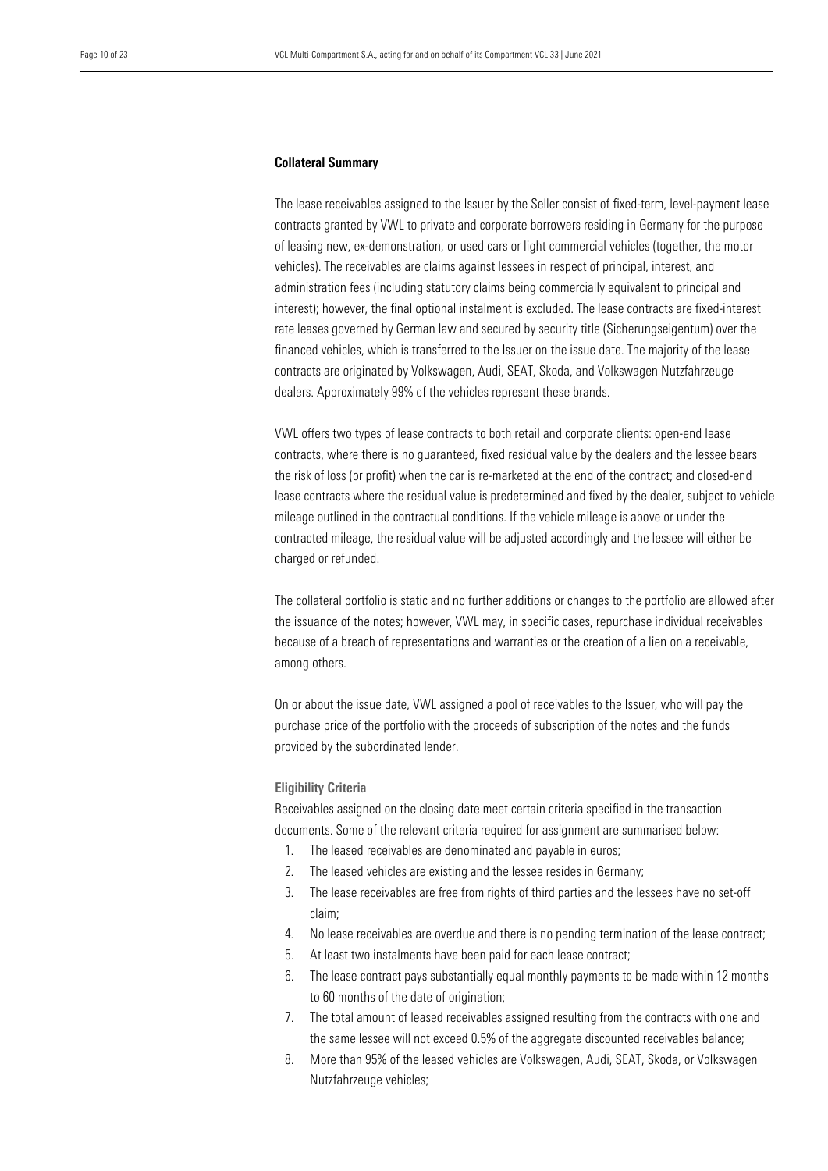#### Collateral Summary

The lease receivables assigned to the Issuer by the Seller consist of fixed-term, level-payment lease contracts granted by VWL to private and corporate borrowers residing in Germany for the purpose of leasing new, ex-demonstration, or used cars or light commercial vehicles (together, the motor vehicles). The receivables are claims against lessees in respect of principal, interest, and administration fees (including statutory claims being commercially equivalent to principal and interest); however, the final optional instalment is excluded. The lease contracts are fixed-interest rate leases governed by German law and secured by security title (Sicherungseigentum) over the financed vehicles, which is transferred to the Issuer on the issue date. The majority of the lease contracts are originated by Volkswagen, Audi, SEAT, Skoda, and Volkswagen Nutzfahrzeuge dealers. Approximately 99% of the vehicles represent these brands.

VWL offers two types of lease contracts to both retail and corporate clients: open-end lease contracts, where there is no guaranteed, fixed residual value by the dealers and the lessee bears the risk of loss (or profit) when the car is re-marketed at the end of the contract; and closed-end lease contracts where the residual value is predetermined and fixed by the dealer, subject to vehicle mileage outlined in the contractual conditions. If the vehicle mileage is above or under the contracted mileage, the residual value will be adjusted accordingly and the lessee will either be charged or refunded.

The collateral portfolio is static and no further additions or changes to the portfolio are allowed after the issuance of the notes; however, VWL may, in specific cases, repurchase individual receivables because of a breach of representations and warranties or the creation of a lien on a receivable, among others.

On or about the issue date, VWL assigned a pool of receivables to the Issuer, who will pay the purchase price of the portfolio with the proceeds of subscription of the notes and the funds provided by the subordinated lender.

## Eligibility Criteria

Receivables assigned on the closing date meet certain criteria specified in the transaction documents. Some of the relevant criteria required for assignment are summarised below:

- 1. The leased receivables are denominated and payable in euros;
- 2. The leased vehicles are existing and the lessee resides in Germany;
- 3. The lease receivables are free from rights of third parties and the lessees have no set-off claim;
- 4. No lease receivables are overdue and there is no pending termination of the lease contract;
- 5. At least two instalments have been paid for each lease contract;
- 6. The lease contract pays substantially equal monthly payments to be made within 12 months to 60 months of the date of origination;
- 7. The total amount of leased receivables assigned resulting from the contracts with one and the same lessee will not exceed 0.5% of the aggregate discounted receivables balance;
- 8. More than 95% of the leased vehicles are Volkswagen, Audi, SEAT, Skoda, or Volkswagen Nutzfahrzeuge vehicles;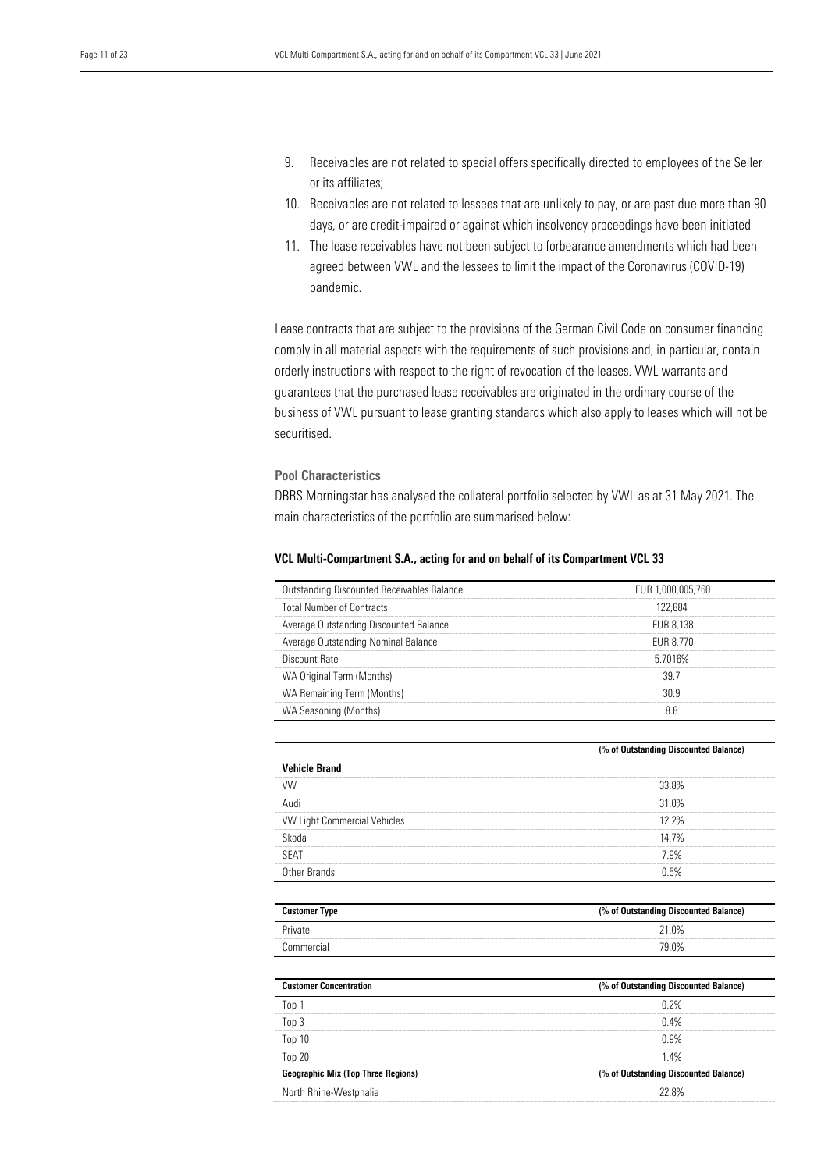- 9. Receivables are not related to special offers specifically directed to employees of the Seller or its affiliates;
- 10. Receivables are not related to lessees that are unlikely to pay, or are past due more than 90 days, or are credit-impaired or against which insolvency proceedings have been initiated
- 11. The lease receivables have not been subject to forbearance amendments which had been agreed between VWL and the lessees to limit the impact of the Coronavirus (COVID-19) pandemic.

Lease contracts that are subject to the provisions of the German Civil Code on consumer financing comply in all material aspects with the requirements of such provisions and, in particular, contain orderly instructions with respect to the right of revocation of the leases. VWL warrants and guarantees that the purchased lease receivables are originated in the ordinary course of the business of VWL pursuant to lease granting standards which also apply to leases which will not be securitised.

## Pool Characteristics

DBRS Morningstar has analysed the collateral portfolio selected by VWL as at 31 May 2021. The main characteristics of the portfolio are summarised below:

| Outstanding Discounted Receivables Balance | EUR 1.000.005.760 |
|--------------------------------------------|-------------------|
| <b>Total Number of Contracts</b>           | 122 884           |
| Average Outstanding Discounted Balance     | EUR 8.138         |
| Average Outstanding Nominal Balance        | FUR 8.770         |
| Discount Rate                              | 5.7016%           |
| WA Original Term (Months)                  |                   |
| WA Remaining Term (Months)                 |                   |
| WA Seasoning (Months)                      |                   |

## VCL Multi-Compartment S.A., acting for and on behalf of its Compartment VCL 33

|                                     | (% of Outstanding Discounted Balance) |
|-------------------------------------|---------------------------------------|
| <b>Vehicle Brand</b>                |                                       |
|                                     | 33.8%                                 |
|                                     | 31 0%                                 |
| <b>VW Light Commercial Vehicles</b> | 12 2%                                 |
| Skoda                               | 14 7%                                 |
| <b>SEAT</b>                         | 7.9%                                  |
| Other Brands                        |                                       |

| <b>Customer Type</b> | (% of Outstanding Discounted Balance) |
|----------------------|---------------------------------------|
| Private              | 21.0%                                 |
| Commercial           | 79.0%                                 |

| <b>Customer Concentration</b>             | (% of Outstanding Discounted Balance) |
|-------------------------------------------|---------------------------------------|
| Ton 1                                     | በ ን%                                  |
| Top 3                                     | 0.4%                                  |
| Top 10                                    | በ 9%                                  |
| Top 20                                    | 14%                                   |
| <b>Geographic Mix (Top Three Regions)</b> | (% of Outstanding Discounted Balance) |
| North Rhine-Westphalia                    | 22.8%                                 |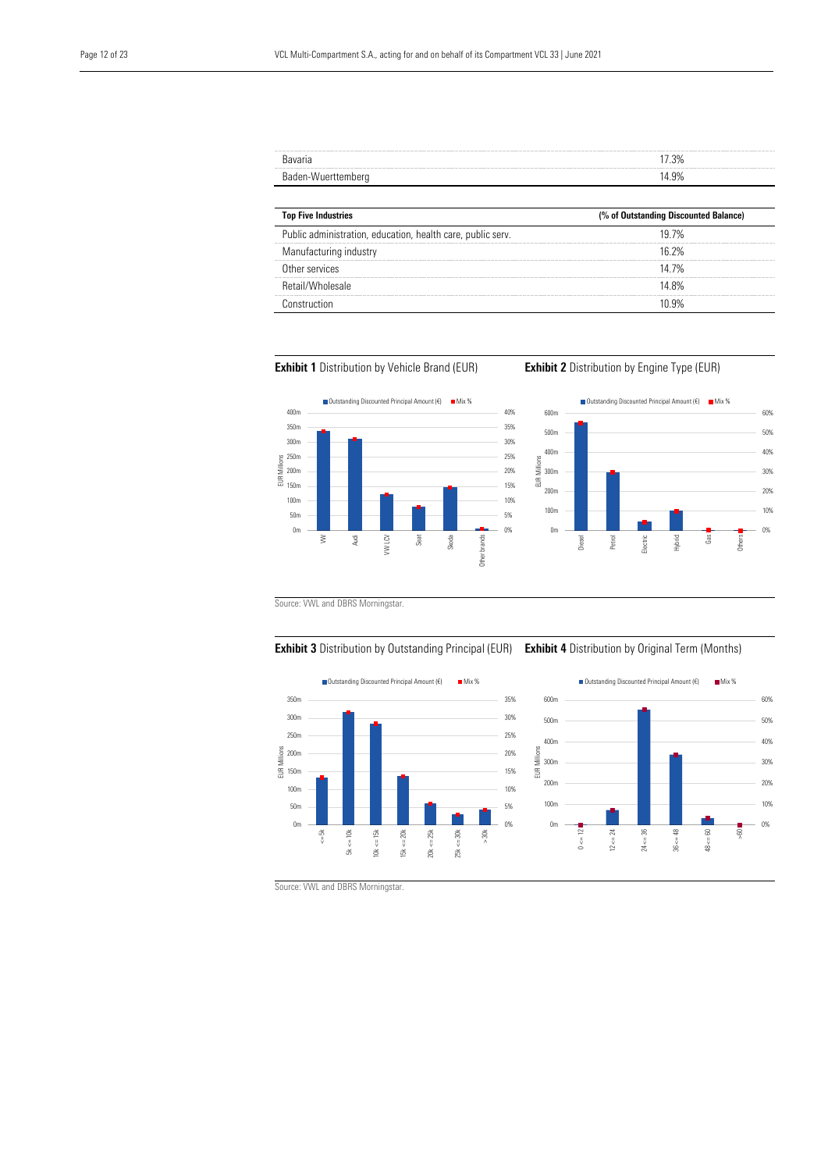| Bavaria            | 17.3% |
|--------------------|-------|
| Baden-Wuerttemberg | 14.9% |

| <b>Top Five Industries</b>                                  | (% of Outstanding Discounted Balance) |  |
|-------------------------------------------------------------|---------------------------------------|--|
| Public administration, education, health care, public serv. | 19 7%                                 |  |
| Manufacturing industry                                      | 16 2%                                 |  |
| Other services                                              | 14 7%                                 |  |
| Retail/Wholesale                                            | 14 8%                                 |  |
| <b>Innetruction</b>                                         | በ ባየረ                                 |  |







Source: VWL and DBRS Morningstar.





Source: VWL and DBRS Morningstar.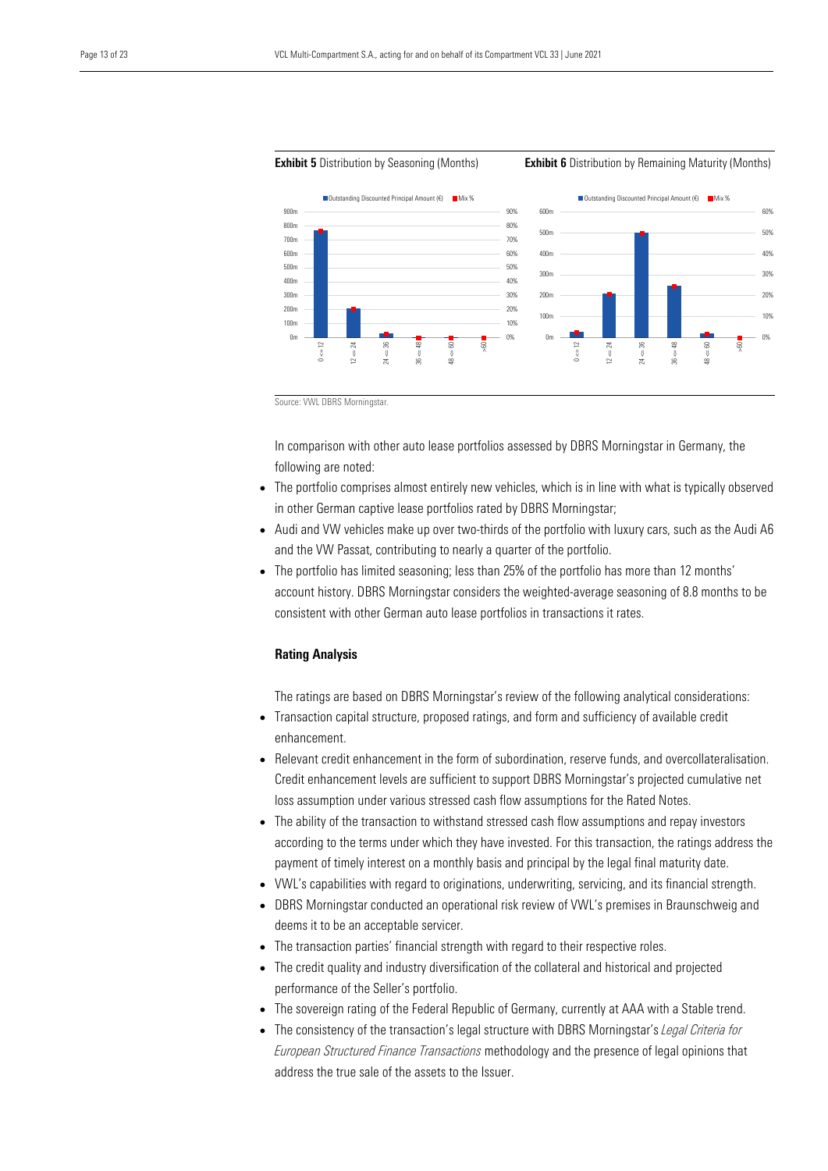

#### **Exhibit 5** Distribution by Seasoning (Months) **Exhibit 6** Distribution by Remaining Maturity (Months)

Source: VWL DBRS Morningstar.

In comparison with other auto lease portfolios assessed by DBRS Morningstar in Germany, the following are noted:

- The portfolio comprises almost entirely new vehicles, which is in line with what is typically observed in other German captive lease portfolios rated by DBRS Morningstar;
- Audi and VW vehicles make up over two-thirds of the portfolio with luxury cars, such as the Audi A6 and the VW Passat, contributing to nearly a quarter of the portfolio.
- The portfolio has limited seasoning; less than 25% of the portfolio has more than 12 months' account history. DBRS Morningstar considers the weighted-average seasoning of 8.8 months to be consistent with other German auto lease portfolios in transactions it rates.

#### Rating Analysis

The ratings are based on DBRS Morningstar's review of the following analytical considerations:

- Transaction capital structure, proposed ratings, and form and sufficiency of available credit enhancement.
- Relevant credit enhancement in the form of subordination, reserve funds, and overcollateralisation. Credit enhancement levels are sufficient to support DBRS Morningstar's projected cumulative net loss assumption under various stressed cash flow assumptions for the Rated Notes.
- The ability of the transaction to withstand stressed cash flow assumptions and repay investors according to the terms under which they have invested. For this transaction, the ratings address the payment of timely interest on a monthly basis and principal by the legal final maturity date.
- VWL's capabilities with regard to originations, underwriting, servicing, and its financial strength.
- DBRS Morningstar conducted an operational risk review of VWL's premises in Braunschweig and deems it to be an acceptable servicer.
- The transaction parties' financial strength with regard to their respective roles.
- The credit quality and industry diversification of the collateral and historical and projected performance of the Seller's portfolio.
- The sovereign rating of the Federal Republic of Germany, currently at AAA with a Stable trend.
- The consistency of the transaction's legal structure with DBRS Morningstar's *Legal Criteria for European Structured Finance Transactions* methodology and the presence of legal opinions that address the true sale of the assets to the Issuer.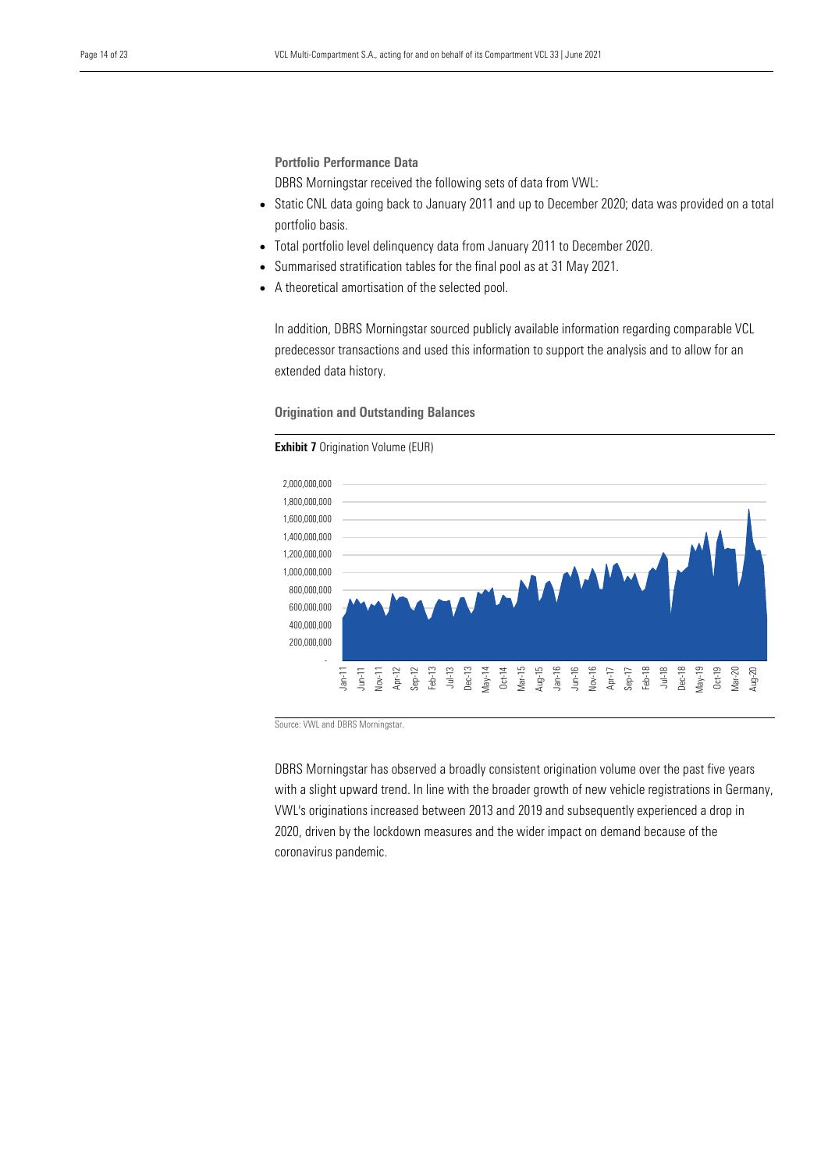Portfolio Performance Data

DBRS Morningstar received the following sets of data from VWL:

- Static CNL data going back to January 2011 and up to December 2020; data was provided on a total portfolio basis.
- Total portfolio level delinquency data from January 2011 to December 2020.
- Summarised stratification tables for the final pool as at 31 May 2021.
- A theoretical amortisation of the selected pool.

In addition, DBRS Morningstar sourced publicly available information regarding comparable VCL predecessor transactions and used this information to support the analysis and to allow for an extended data history.

Origination and Outstanding Balances

## **Exhibit 7** Origination Volume (EUR)



Source: VWL and DBRS Morningstar.

DBRS Morningstar has observed a broadly consistent origination volume over the past five years with a slight upward trend. In line with the broader growth of new vehicle registrations in Germany, VWL's originations increased between 2013 and 2019 and subsequently experienced a drop in 2020, driven by the lockdown measures and the wider impact on demand because of the coronavirus pandemic.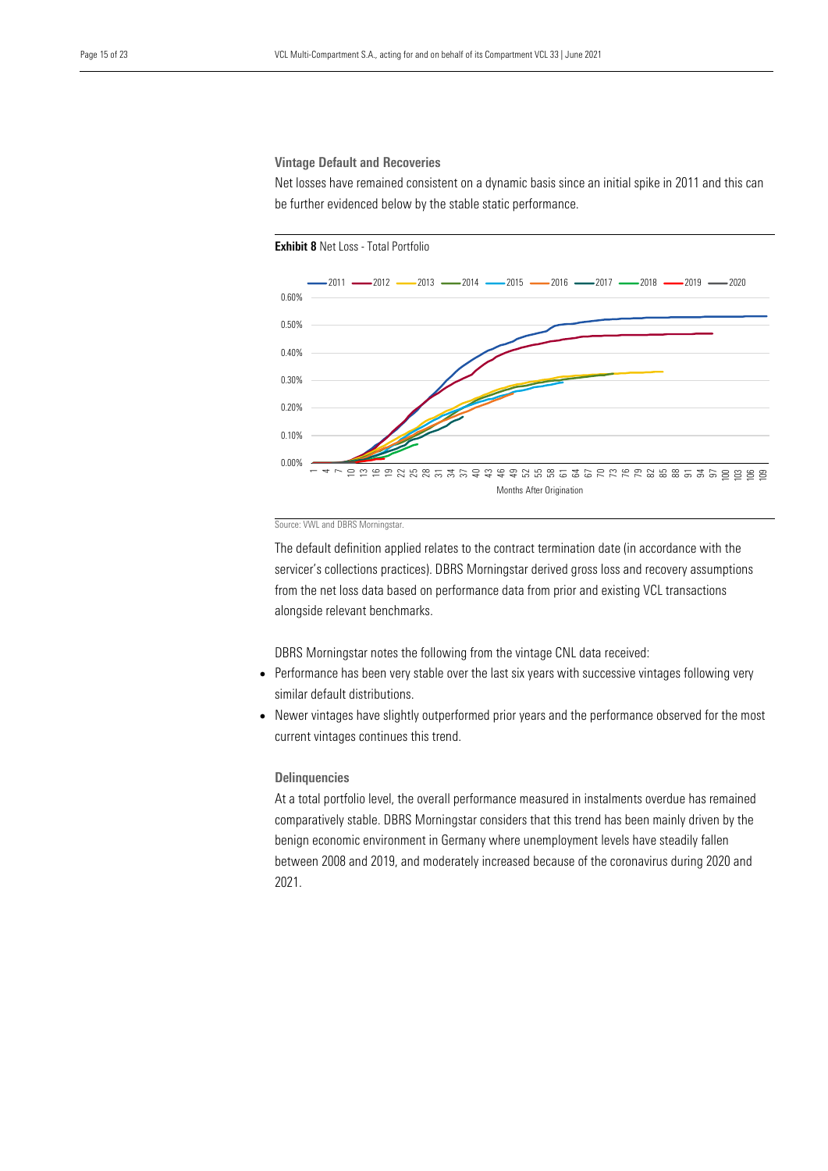#### Vintage Default and Recoveries

Net losses have remained consistent on a dynamic basis since an initial spike in 2011 and this can be further evidenced below by the stable static performance.



#### Source: VWL and DBRS Morningstar.

The default definition applied relates to the contract termination date (in accordance with the servicer's collections practices). DBRS Morningstar derived gross loss and recovery assumptions from the net loss data based on performance data from prior and existing VCL transactions alongside relevant benchmarks.

DBRS Morningstar notes the following from the vintage CNL data received:

- Performance has been very stable over the last six years with successive vintages following very similar default distributions.
- Newer vintages have slightly outperformed prior years and the performance observed for the most current vintages continues this trend.

#### **Delinquencies**

At a total portfolio level, the overall performance measured in instalments overdue has remained comparatively stable. DBRS Morningstar considers that this trend has been mainly driven by the benign economic environment in Germany where unemployment levels have steadily fallen between 2008 and 2019, and moderately increased because of the coronavirus during 2020 and 2021.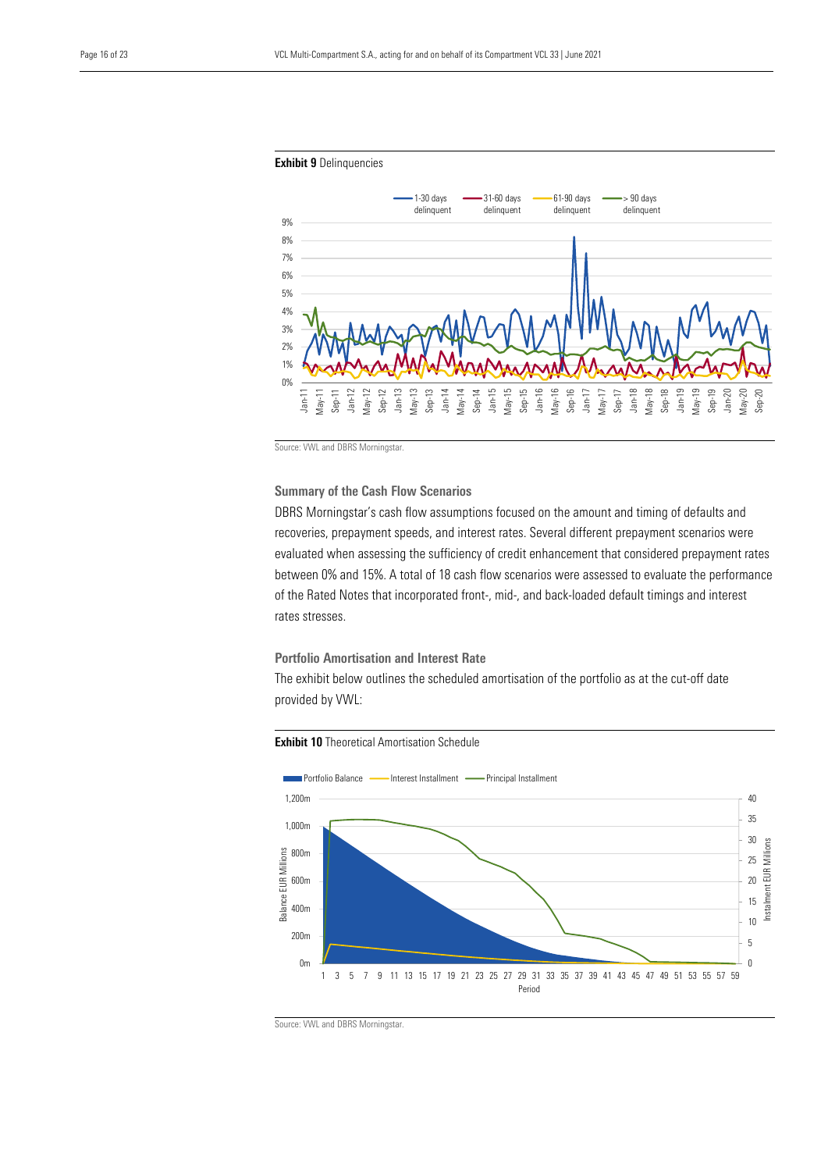

Source: VWL and DBRS Morningstar.

Summary of the Cash Flow Scenarios

DBRS Morningstar's cash flow assumptions focused on the amount and timing of defaults and recoveries, prepayment speeds, and interest rates. Several different prepayment scenarios were evaluated when assessing the sufficiency of credit enhancement that considered prepayment rates between 0% and 15%. A total of 18 cash flow scenarios were assessed to evaluate the performance of the Rated Notes that incorporated front-, mid-, and back-loaded default timings and interest rates stresses.

Portfolio Amortisation and Interest Rate

The exhibit below outlines the scheduled amortisation of the portfolio as at the cut-off date provided by VWL:





Source: VWL and DBRS Morningstar.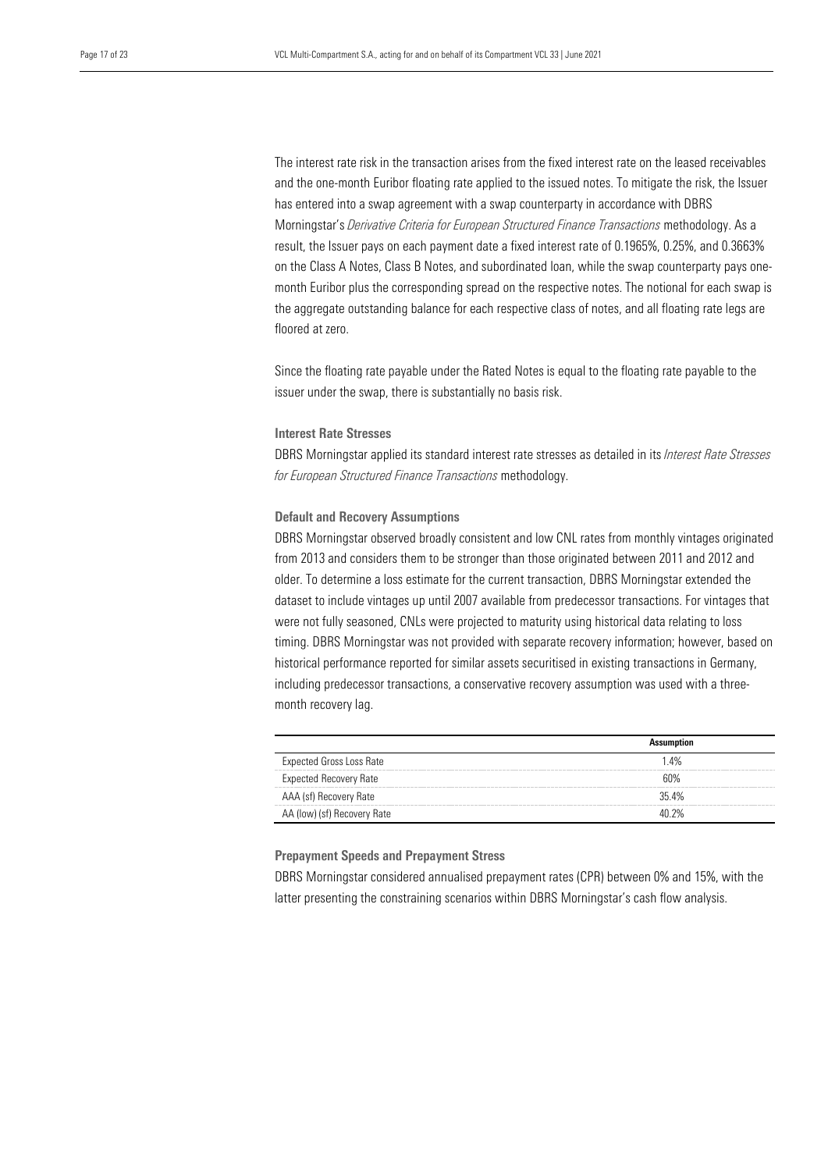The interest rate risk in the transaction arises from the fixed interest rate on the leased receivables and the one-month Euribor floating rate applied to the issued notes. To mitigate the risk, the Issuer has entered into a swap agreement with a swap counterparty in accordance with DBRS Morningstar's *Derivative Criteria for European Structured Finance Transactions* methodology. As a result, the Issuer pays on each payment date a fixed interest rate of 0.1965%, 0.25%, and 0.3663% on the Class A Notes, Class B Notes, and subordinated loan, while the swap counterparty pays onemonth Euribor plus the corresponding spread on the respective notes. The notional for each swap is the aggregate outstanding balance for each respective class of notes, and all floating rate legs are floored at zero.

Since the floating rate payable under the Rated Notes is equal to the floating rate payable to the issuer under the swap, there is substantially no basis risk.

#### Interest Rate Stresses

DBRS Morningstar applied its standard interest rate stresses as detailed in its *Interest Rate Stresses for European Structured Finance Transactions* methodology.

## Default and Recovery Assumptions

DBRS Morningstar observed broadly consistent and low CNL rates from monthly vintages originated from 2013 and considers them to be stronger than those originated between 2011 and 2012 and older. To determine a loss estimate for the current transaction, DBRS Morningstar extended the dataset to include vintages up until 2007 available from predecessor transactions. For vintages that were not fully seasoned, CNLs were projected to maturity using historical data relating to loss timing. DBRS Morningstar was not provided with separate recovery information; however, based on historical performance reported for similar assets securitised in existing transactions in Germany, including predecessor transactions, a conservative recovery assumption was used with a threemonth recovery lag.

| <b>Expected Gross Loss Rate</b> | 1.4%  |
|---------------------------------|-------|
| <b>Expected Recovery Rate</b>   | አባባራ  |
| AAA (sf) Recovery Rate          | 354%  |
| AA (low) (sf) Recovery Rate     | 40 2% |

#### Prepayment Speeds and Prepayment Stress

DBRS Morningstar considered annualised prepayment rates (CPR) between 0% and 15%, with the latter presenting the constraining scenarios within DBRS Morningstar's cash flow analysis.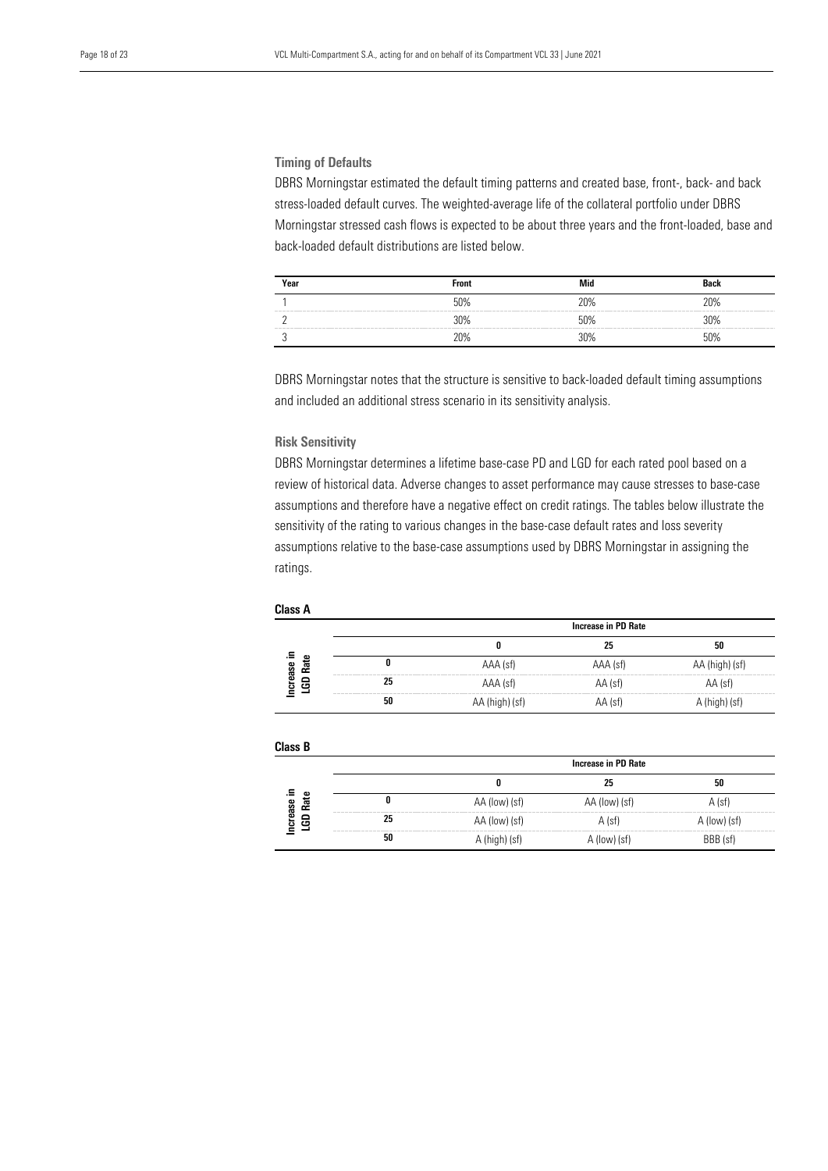## Timing of Defaults

DBRS Morningstar estimated the default timing patterns and created base, front-, back- and back stress-loaded default curves. The weighted-average life of the collateral portfolio under DBRS Morningstar stressed cash flows is expected to be about three years and the front-loaded, base and back-loaded default distributions are listed below.

| Year | <b>Front</b> | Mid                   | Dool                         |
|------|--------------|-----------------------|------------------------------|
|      | 50%          | <b>DUG</b>            | ንበ0∕<br>and some store more. |
|      | 30%          | $\bigcap$             | a course some some course of |
|      |              | $\gamma$ <sub>0</sub> |                              |

DBRS Morningstar notes that the structure is sensitive to back-loaded default timing assumptions and included an additional stress scenario in its sensitivity analysis.

## Risk Sensitivity

DBRS Morningstar determines a lifetime base-case PD and LGD for each rated pool based on a review of historical data. Adverse changes to asset performance may cause stresses to base-case assumptions and therefore have a negative effect on credit ratings. The tables below illustrate the sensitivity of the rating to various changes in the base-case default rates and loss severity assumptions relative to the base-case assumptions used by DBRS Morningstar in assigning the ratings.

|             |                                                                  | Increase in PD Rate                                                                                               |          |             |
|-------------|------------------------------------------------------------------|-------------------------------------------------------------------------------------------------------------------|----------|-------------|
|             |                                                                  |                                                                                                                   |          | 50          |
| œ<br>ř.     |                                                                  | AAA (sf)                                                                                                          | AAA (sf) | (high) (st) |
| crease<br>8 |                                                                  | AAA (sf)                                                                                                          | AA (sf)  | AA (st)     |
|             | were send your prop were compared to the send your company<br>50 | were soon over the company of the company of the company of the company of the company of the company<br>.n) (st' | AA (st'  | lst         |

| <b>Class B</b>   |                                 |                            |               |              |  |
|------------------|---------------------------------|----------------------------|---------------|--------------|--|
|                  |                                 | <b>Increase in PD Rate</b> |               |              |  |
|                  |                                 |                            | 25            | 50           |  |
| ω<br>مە          |                                 | AA (low) (sf)              | AA (low) (sf) | $A$ (sf)     |  |
| GD Rat<br>crease | send their court when the<br>25 | AA (low) (sf)              | $A$ (sf)      | A (low) (sf) |  |
|                  | 50                              | A (high) (sf)              | A (low) (sf)  | BBB (sf)     |  |

#### Class A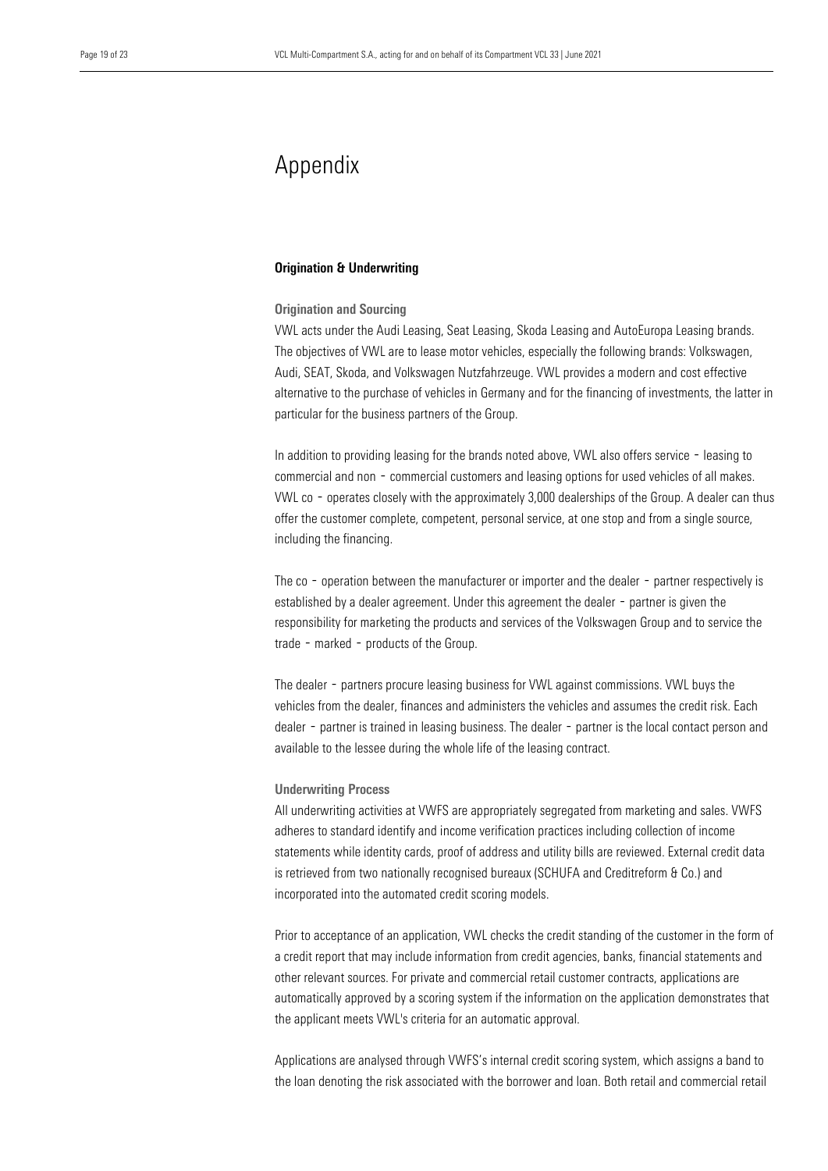## Appendix

#### Origination & Underwriting

#### Origination and Sourcing

VWL acts under the Audi Leasing, Seat Leasing, Skoda Leasing and AutoEuropa Leasing brands. The objectives of VWL are to lease motor vehicles, especially the following brands: Volkswagen, Audi, SEAT, Skoda, and Volkswagen Nutzfahrzeuge. VWL provides a modern and cost effective alternative to the purchase of vehicles in Germany and for the financing of investments, the latter in particular for the business partners of the Group.

In addition to providing leasing for the brands noted above, VWL also offers service - leasing to commercial and non - commercial customers and leasing options for used vehicles of all makes. VWL co - operates closely with the approximately 3,000 dealerships of the Group. A dealer can thus offer the customer complete, competent, personal service, at one stop and from a single source, including the financing.

The co - operation between the manufacturer or importer and the dealer - partner respectively is established by a dealer agreement. Under this agreement the dealer - partner is given the responsibility for marketing the products and services of the Volkswagen Group and to service the trade - marked - products of the Group.

The dealer - partners procure leasing business for VWL against commissions. VWL buys the vehicles from the dealer, finances and administers the vehicles and assumes the credit risk. Each dealer - partner is trained in leasing business. The dealer - partner is the local contact person and available to the lessee during the whole life of the leasing contract.

#### Underwriting Process

All underwriting activities at VWFS are appropriately segregated from marketing and sales. VWFS adheres to standard identify and income verification practices including collection of income statements while identity cards, proof of address and utility bills are reviewed. External credit data is retrieved from two nationally recognised bureaux (SCHUFA and Creditreform & Co.) and incorporated into the automated credit scoring models.

Prior to acceptance of an application, VWL checks the credit standing of the customer in the form of a credit report that may include information from credit agencies, banks, financial statements and other relevant sources. For private and commercial retail customer contracts, applications are automatically approved by a scoring system if the information on the application demonstrates that the applicant meets VWL's criteria for an automatic approval.

Applications are analysed through VWFS's internal credit scoring system, which assigns a band to the loan denoting the risk associated with the borrower and loan. Both retail and commercial retail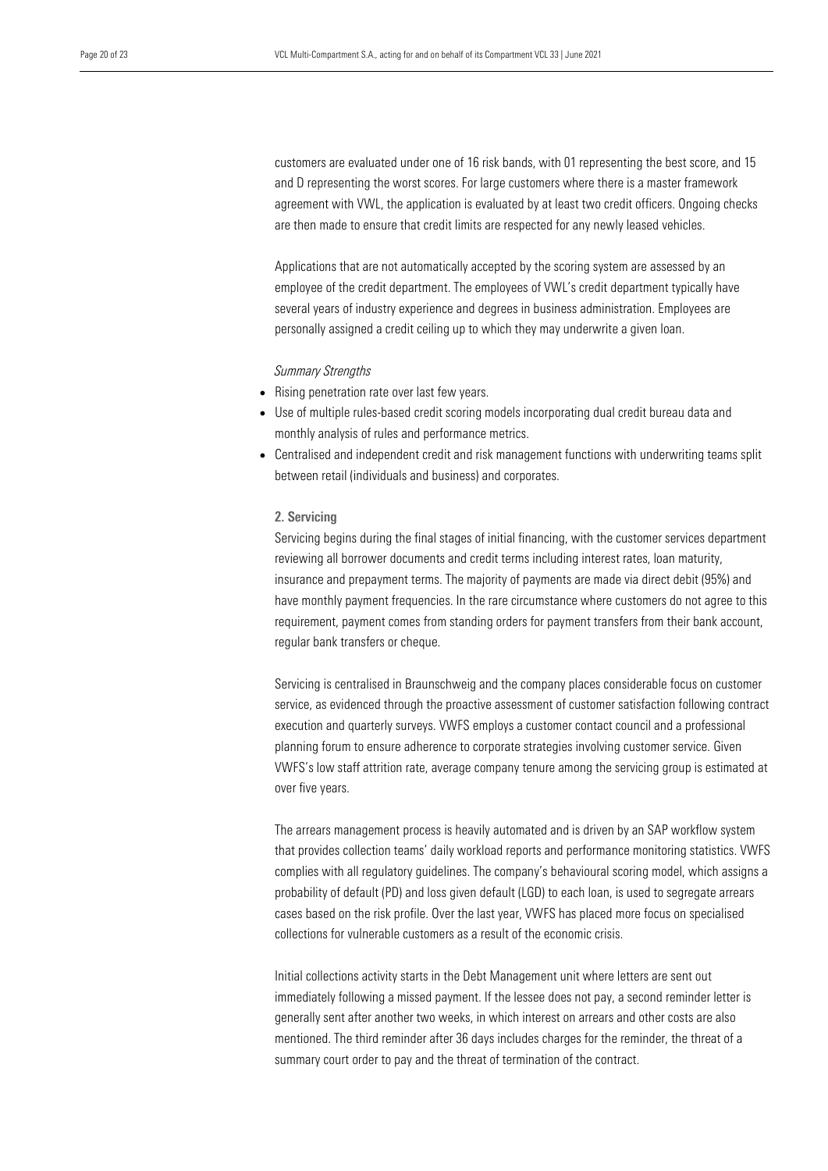customers are evaluated under one of 16 risk bands, with 01 representing the best score, and 15 and D representing the worst scores. For large customers where there is a master framework agreement with VWL, the application is evaluated by at least two credit officers. Ongoing checks are then made to ensure that credit limits are respected for any newly leased vehicles.

Applications that are not automatically accepted by the scoring system are assessed by an employee of the credit department. The employees of VWL's credit department typically have several years of industry experience and degrees in business administration. Employees are personally assigned a credit ceiling up to which they may underwrite a given loan.

#### *Summary Strengths*

- Rising penetration rate over last few years.
- Use of multiple rules-based credit scoring models incorporating dual credit bureau data and monthly analysis of rules and performance metrics.
- Centralised and independent credit and risk management functions with underwriting teams split between retail (individuals and business) and corporates.

## 2. Servicing

Servicing begins during the final stages of initial financing, with the customer services department reviewing all borrower documents and credit terms including interest rates, loan maturity, insurance and prepayment terms. The majority of payments are made via direct debit (95%) and have monthly payment frequencies. In the rare circumstance where customers do not agree to this requirement, payment comes from standing orders for payment transfers from their bank account, regular bank transfers or cheque.

Servicing is centralised in Braunschweig and the company places considerable focus on customer service, as evidenced through the proactive assessment of customer satisfaction following contract execution and quarterly surveys. VWFS employs a customer contact council and a professional planning forum to ensure adherence to corporate strategies involving customer service. Given VWFS's low staff attrition rate, average company tenure among the servicing group is estimated at over five years.

The arrears management process is heavily automated and is driven by an SAP workflow system that provides collection teams' daily workload reports and performance monitoring statistics. VWFS complies with all regulatory guidelines. The company's behavioural scoring model, which assigns a probability of default (PD) and loss given default (LGD) to each loan, is used to segregate arrears cases based on the risk profile. Over the last year, VWFS has placed more focus on specialised collections for vulnerable customers as a result of the economic crisis.

Initial collections activity starts in the Debt Management unit where letters are sent out immediately following a missed payment. If the lessee does not pay, a second reminder letter is generally sent after another two weeks, in which interest on arrears and other costs are also mentioned. The third reminder after 36 days includes charges for the reminder, the threat of a summary court order to pay and the threat of termination of the contract.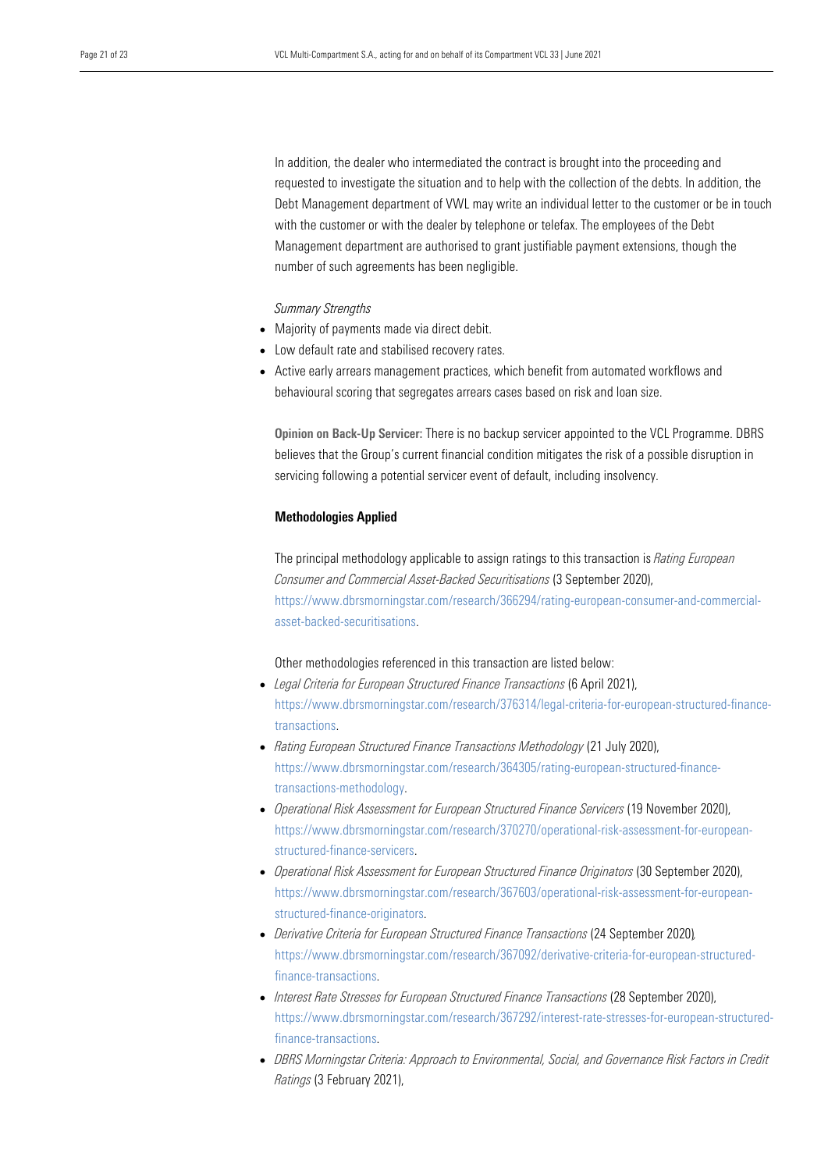In addition, the dealer who intermediated the contract is brought into the proceeding and requested to investigate the situation and to help with the collection of the debts. In addition, the Debt Management department of VWL may write an individual letter to the customer or be in touch with the customer or with the dealer by telephone or telefax. The employees of the Debt Management department are authorised to grant justifiable payment extensions, though the number of such agreements has been negligible.

#### *Summary Strengths*

- Majority of payments made via direct debit.
- Low default rate and stabilised recovery rates.
- Active early arrears management practices, which benefit from automated workflows and behavioural scoring that segregates arrears cases based on risk and loan size.

Opinion on Back-Up Servicer: There is no backup servicer appointed to the VCL Programme. DBRS believes that the Group's current financial condition mitigates the risk of a possible disruption in servicing following a potential servicer event of default, including insolvency.

#### Methodologies Applied

The principal methodology applicable to assign ratings to this transaction is *Rating European Consumer and Commercial Asset-Backed Securitisations* (3 September 2020), [https://www.dbrsmorningstar.com/research/366294/rating-european-consumer-and-commercial](https://www.dbrsmorningstar.com/research/366294/rating-european-consumer-and-commercial-asset-backed-securitisations)[asset-backed-securitisations.](https://www.dbrsmorningstar.com/research/366294/rating-european-consumer-and-commercial-asset-backed-securitisations)

## Other methodologies referenced in this transaction are listed below:

- *Legal Criteria for European Structured Finance Transactions* (6 April 2021), [https://www.dbrsmorningstar.com/research/376314/legal-criteria-for-european-structured-finance](https://www.dbrsmorningstar.com/research/376314/legal-criteria-for-european-structured-finance-transactions)[transactions.](https://www.dbrsmorningstar.com/research/376314/legal-criteria-for-european-structured-finance-transactions)
- *Rating European Structured Finance Transactions Methodology* (21 July 2020), [https://www.dbrsmorningstar.com/research/364305/rating-european-structured-finance](https://www.dbrsmorningstar.com/research/364305/rating-european-structured-finance-transactions-methodology)[transactions-methodology.](https://www.dbrsmorningstar.com/research/364305/rating-european-structured-finance-transactions-methodology)
- *Operational Risk Assessment for European Structured Finance Servicers* (19 November 2020), [https://www.dbrsmorningstar.com/research/370270/operational-risk-assessment-for-european](https://www.dbrsmorningstar.com/research/370270/operational-risk-assessment-for-european-structured-finance-servicers)[structured-finance-servicers.](https://www.dbrsmorningstar.com/research/370270/operational-risk-assessment-for-european-structured-finance-servicers)
- *Operational Risk Assessment for European Structured Finance Originators* (30 September 2020), [https://www.dbrsmorningstar.com/research/367603/operational-risk-assessment-for-european](https://www.dbrsmorningstar.com/research/367603/operational-risk-assessment-for-european-structured-finance-originators)[structured-finance-originators.](https://www.dbrsmorningstar.com/research/367603/operational-risk-assessment-for-european-structured-finance-originators)
- *Derivative Criteria for European Structured Finance Transactions* (24 September 2020)*,*  [https://www.dbrsmorningstar.com/research/367092/derivative-criteria-for-european-structured](https://www.dbrsmorningstar.com/research/367092/derivative-criteria-for-european-structured-finance-transactions)[finance-transactions.](https://www.dbrsmorningstar.com/research/367092/derivative-criteria-for-european-structured-finance-transactions)
- *Interest Rate Stresses for European Structured Finance Transactions* (28 September 2020), [https://www.dbrsmorningstar.com/research/367292/interest-rate-stresses-for-european-structured](https://www.dbrsmorningstar.com/research/367292/interest-rate-stresses-for-european-structured-finance-transactions)[finance-transactions.](https://www.dbrsmorningstar.com/research/367292/interest-rate-stresses-for-european-structured-finance-transactions)
- *DBRS Morningstar Criteria: Approach to Environmental, Social, and Governance Risk Factors in Credit Ratings* (3 February 2021),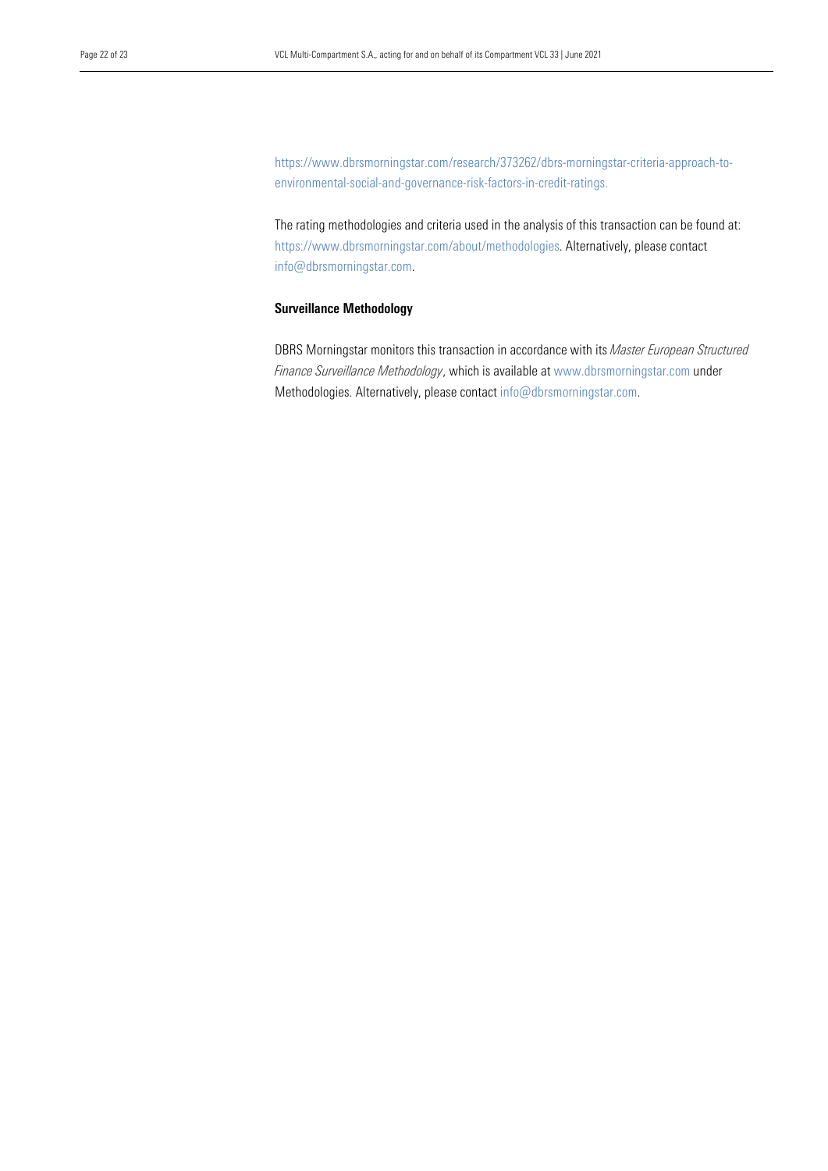[https://www.dbrsmorningstar.com/research/373262/dbrs-morningstar-criteria-approach-to](https://www.dbrsmorningstar.com/research/373262/dbrs-morningstar-criteria-approach-to-environmental-social-and-governance-risk-factors-in-credit-ratings)[environmental-social-and-governance-risk-factors-in-credit-ratings.](https://www.dbrsmorningstar.com/research/373262/dbrs-morningstar-criteria-approach-to-environmental-social-and-governance-risk-factors-in-credit-ratings)

The rating methodologies and criteria used in the analysis of this transaction can be found at: https://www.dbrsmorningstar.com/about/methodologies. Alternatively, please contact info@dbrsmorningstar.com.

## Surveillance Methodology

DBRS Morningstar monitors this transaction in accordance with its *Master European Structured Finance Surveillance Methodology*, which is available at www.dbrsmorningstar.com under Methodologies. Alternatively, please contact [info@dbrsmorningstar.com.](mailto:info@dbrsmorningstar.com)